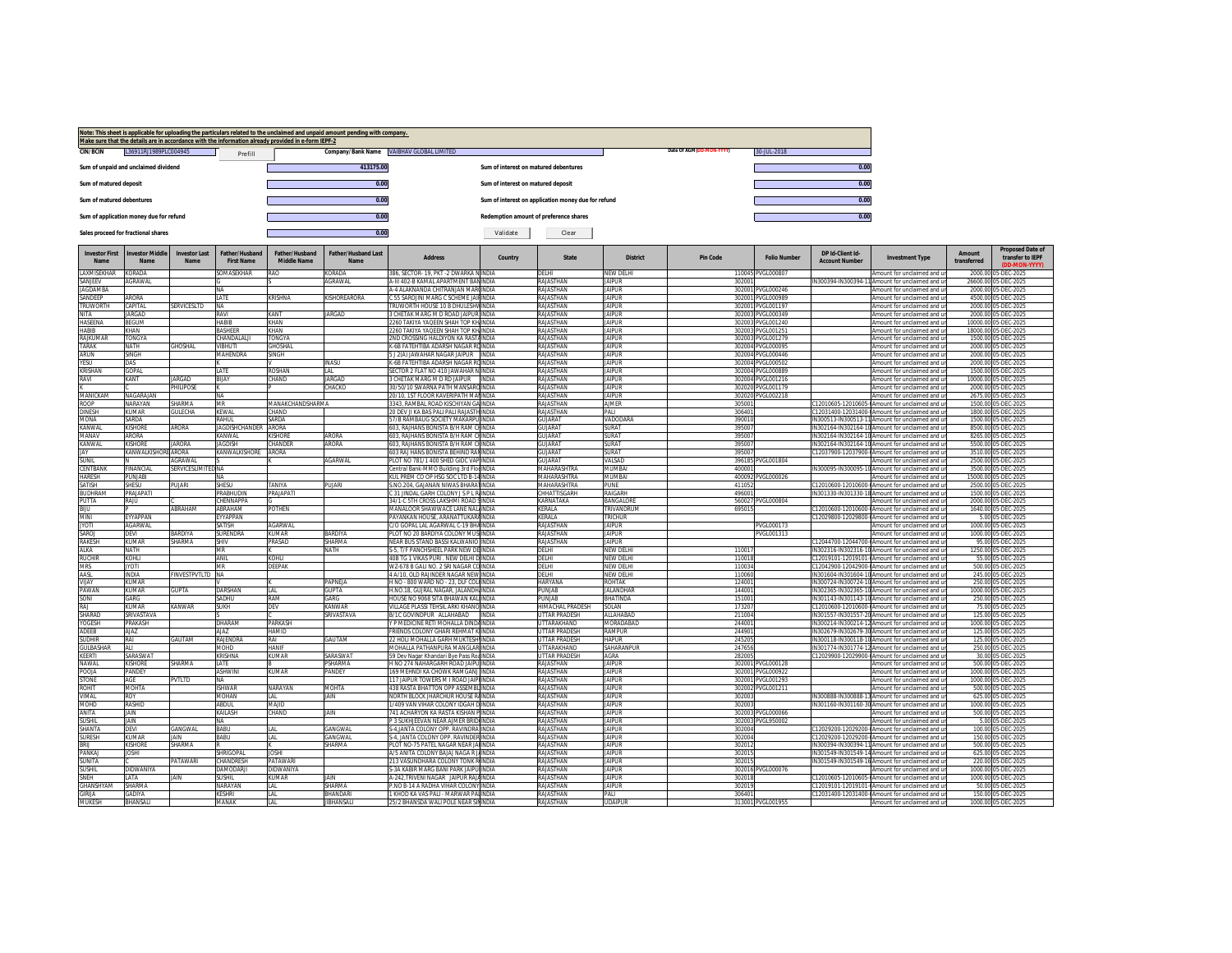|                                     |                                         |                                 |                              | Make sure that the details are in accordance with the information already provided in e-form IEPF-2 | Note: This sheet is applicable for uploading the particulars related to the unclaimed and unpaid amount pending with company. |                                                                                 |                                        |                                                     |                                |                          |                                        |                       |                                                                                                    |               |                                             |
|-------------------------------------|-----------------------------------------|---------------------------------|------------------------------|-----------------------------------------------------------------------------------------------------|-------------------------------------------------------------------------------------------------------------------------------|---------------------------------------------------------------------------------|----------------------------------------|-----------------------------------------------------|--------------------------------|--------------------------|----------------------------------------|-----------------------|----------------------------------------------------------------------------------------------------|---------------|---------------------------------------------|
| <b>CIN/BCIN</b>                     | L36911RJ1989PLC004945                   |                                 | Prefill                      |                                                                                                     |                                                                                                                               | Company/Bank Name VAIBHAV GLOBAL LIMITED                                        |                                        |                                                     |                                | Date Of AGM(DD-MON-YYYY) | 30-JUL-2018                            |                       |                                                                                                    |               |                                             |
|                                     | Sum of unpaid and unclaimed dividend    |                                 |                              |                                                                                                     | 413175.00                                                                                                                     |                                                                                 | Sum of interest on matured debentures  |                                                     |                                |                          |                                        | 0.00                  |                                                                                                    |               |                                             |
| Sum of matured deposit              |                                         |                                 |                              |                                                                                                     | 0.00                                                                                                                          |                                                                                 | Sum of interest on matured deposit     |                                                     |                                |                          |                                        | 0.00                  |                                                                                                    |               |                                             |
| Sum of matured debentures           |                                         |                                 |                              |                                                                                                     | 0.00                                                                                                                          |                                                                                 |                                        | Sum of interest on application money due for refund |                                |                          |                                        | 0.00                  |                                                                                                    |               |                                             |
|                                     | Sum of application money due for refund |                                 |                              |                                                                                                     | 0.00                                                                                                                          |                                                                                 | Redemption amount of preference shares |                                                     |                                |                          |                                        | 0.00                  |                                                                                                    |               |                                             |
| Sales proceed for fractional shares |                                         |                                 |                              |                                                                                                     | 0.00                                                                                                                          |                                                                                 | Validate                               | Clear                                               |                                |                          |                                        |                       |                                                                                                    |               |                                             |
| <b>Investor First</b>               | <b>Investor Middle</b>                  | <b>Investor Last</b>            | Father/Husband               | Father/Husband                                                                                      | <b>Father/Husband Last</b>                                                                                                    |                                                                                 |                                        |                                                     |                                |                          |                                        | DP Id-Client Id-      |                                                                                                    | <b>Amount</b> | <b>Proposed Date of</b>                     |
| Name                                | Name                                    | Name                            | <b>First Name</b>            | Middle Name                                                                                         | Name                                                                                                                          | <b>Address</b>                                                                  | Country                                | <b>State</b>                                        | <b>District</b>                | <b>Pin Code</b>          | <b>Folio Number</b>                    | <b>Account Number</b> | <b>Investment Type</b>                                                                             | transferred   | transfer to IEPF<br>(DD-MON-YYYY            |
| <b>AXMISEKHAR</b>                   | KORADA                                  |                                 | SOMASEKHAR                   | RAO                                                                                                 | ORADA                                                                                                                         | 86, SECTOR- 19, PKT-2 DWARKA NINDIA                                             |                                        | DELHI                                               | NEW DELHI<br><b>IAIPUR</b>     |                          | 110045 PVGL000807                      |                       | Amount for unclaimed and u                                                                         | 2000.00       | 05-DEC-2025                                 |
| SANJEEV<br><b>IAGDAMBA</b>          | AGRAWAL                                 |                                 | <b>NA</b>                    |                                                                                                     | AGRAWAL                                                                                                                       | A-III 402-B KAMAL APARTMENT BANINDIA<br>A-4 AI AKNANDA CHITRANIAN MARCINDIA     |                                        | RAJASTHAN<br><b>RAJASTHAN</b>                       | <b>IAIPUR</b>                  | 302001                   | 302001 PVGL000246                      |                       | IN300394-IN300394-11 Amount for unclaimed and ur<br>Amount for unclaimed and u                     |               | 26600.00 05-DEC-2025<br>2000.00 05-DEC-2025 |
| SANDEEP                             | ARORA                                   |                                 | LATE                         | KRISHNA                                                                                             | <b>KISHOREARORA</b>                                                                                                           | : 55 SAROJINI MARG C SCHEME JAIFINDIA                                           |                                        | RAJASTHAN                                           | <b>JAIPUR</b>                  |                          | 302001 PVGL000989                      |                       | Amount for unclaimed and u                                                                         |               | 4500.00 05-DEC-2025                         |
| <b>TRUWORTH</b>                     | <b>CAPITAL</b>                          | SERVICESI TD                    | NΔ                           |                                                                                                     |                                                                                                                               | ERLIWORTH HOLISE 10 B DHUI ESHVINDIA                                            |                                        | <b>INAHT2A1AR</b>                                   | <b>IAIPHR</b>                  |                          | 302001 PVGL001197                      |                       | Amount for unclaimed and u                                                                         |               | 2000.00 05-DEC-2025                         |
| <b>NITA</b><br>HASEENA              | <b>JARGAD</b><br><b>BEGUM</b>           |                                 | RAVI<br><b>HABIR</b>         | KANT<br>KHAN                                                                                        | <b>JARGAD</b>                                                                                                                 | GHETAK MARG M D ROAD JAIPUR INDIA<br>2260 TAKIYA YAQEEN SHAH TOP KHJINDIA       |                                        | RAJASTHAN<br><b>RAJASTHAN</b>                       | <b>JAIPUR</b><br><b>IAIPUR</b> |                          | 302003 PVGL000349<br>302003 PVGL001240 |                       | Amount for unclaimed and u                                                                         |               | 2000.00 05-DEC-2025<br>10000.00 05-DEC-2025 |
| HABIB                               | KHAN                                    |                                 | <b><i>RASHEER</i></b>        | KHAN                                                                                                |                                                                                                                               | 2260 TAKIYA YAQEEN SHAH TOP KHIINDIA                                            |                                        | RAJASTHAN                                           | <b>JAIPUR</b>                  |                          | 302003 PVGL001251                      |                       | Amount for unclaimed and u<br>Amount for unclaimed and u                                           |               | 18000.00 05-DEC-2025                        |
| RAJKUMAR                            | <b>TONGYA</b>                           |                                 | CHANDALALI                   | <b><i>FONGYA</i></b>                                                                                |                                                                                                                               | 2ND CROSSING HALDIYON KA RASTAINDIA                                             |                                        | RAJASTHAN                                           | <b>IAIPUR</b>                  |                          | 302003 PVGL001279                      |                       | Amount for unclaimed and u                                                                         |               | 1500.00 05-DEC-2025                         |
| TARAK                               | NATH                                    | GHOSHAL                         | VIBHUTI                      | <b>GHOSHAL</b>                                                                                      |                                                                                                                               | -6B FATEHTIBA ADARSH NAGAR ROINDIA                                              |                                        | RAJASTHAN                                           | <b>JAIPUR</b>                  |                          | 302004 PVGL000095                      |                       | Amount for unclaimed and u                                                                         |               | 2000.00 05-DEC-2025                         |
| ARUN                                | SINGH                                   |                                 | MAHENDRA                     | SINGH                                                                                               |                                                                                                                               | J 2(A) JAWAHAR NAGAR JAIPUR INDIA                                               |                                        | RAJASTHAN                                           | <b>JAIPUR</b>                  |                          | 302004 PVGL000446                      |                       | Amount for unclaimed and u                                                                         |               | 2000.00 05-DEC-2025                         |
| <b>YESU</b><br>KRISHAN              | DAS<br><b>GOPAL</b>                     |                                 | LATE                         | ROSHAN                                                                                              | <b>INASU</b><br>AL                                                                                                            | K-6B FATEHTIBA ADARSH NAGAR ROINDIA<br>SECTOR 2 FLAT NO 410 JAWAHAR NINDIA      |                                        | <b>RAJASTHAN</b><br>RAJASTHAN                       | <b>IAIPUR</b><br><b>JAIPUR</b> |                          | 302004 PVGL000502<br>302004 PVGL000889 |                       | Amount for unclaimed and u<br>Amount for unclaimed and u                                           |               | 2000.00 05-DEC-2025<br>1500.00 05-DEC-2025  |
| RAVI                                | KANT                                    | <b>IARGAD</b>                   | BIJAY                        | CHAND                                                                                               | <b>IARGAD</b>                                                                                                                 | <b>GHETAK MARG M D RD JAIPUR INDIA</b>                                          |                                        | RAJASTHAN                                           | <b>IAIPUR</b>                  |                          | 302004 PVGL001216                      |                       | Amount for unclaimed and u                                                                         |               | 10000.00 05-DEC-2025                        |
|                                     |                                         | PHILIPOSE                       |                              |                                                                                                     | <b>HACKO</b>                                                                                                                  | 0/50/10 SWARNA PATH MANSAROINDIA                                                |                                        | RAJASTHAN                                           | <b>JAIPUR</b>                  |                          | 302020 PVGL001179                      |                       | Amount for unclaimed and ur                                                                        |               | 2000.00 05-DEC-2025                         |
| MANICKAN                            | <b>NAGARAIAN</b>                        |                                 | NA                           |                                                                                                     |                                                                                                                               | 20/10, 1ST FLOOR KAVERIPATH MAI INDIA                                           |                                        | RAJASTHAN                                           | <b>IAIPUR</b>                  |                          | 302020 PVGL002218                      |                       | Amount for unclaimed and u                                                                         |               | 2675.00 05-DEC-2025                         |
| <b>ROOP</b><br><b>DINESH</b>        | <b>NARAYAN</b><br><b>KUMAR</b>          | <b>SHARMA</b><br><b>GULECHA</b> | MR<br>KEWAL                  | <b>MANAKCHANDSHARMA</b><br>CHAND                                                                    |                                                                                                                               | 3343 RAMBAL ROAD KISCHIYAN GAINDIA<br>20 DEV JI KA BAS PALI PALI RAJASTHINDIA   |                                        | <b>RAJASTHAN</b><br>RAJASTHAN                       | <b>AJMER</b><br>PALI           | 305001<br>30640          |                                        |                       | C12010605-12010605-0Amount for unclaimed and u<br>C12031400-12031400-0Amount for unclaimed and u   |               | 1500.00 05-DEC-2025<br>1800.00 05-DEC-2025  |
| MONA                                | <b>AURDA</b>                            |                                 | RAHUL                        | SARDA                                                                                               |                                                                                                                               | 57/B RAMBAUG SOCIETY MAKARPUINDIA                                               |                                        | GUIARAT                                             | VADODARA                       | 39001                    |                                        |                       | IN300513-IN300513-11 Amount for unclaimed and u                                                    |               | 1500.00 05-DEC-2025                         |
| KANWAL                              | <b>KISHORE</b>                          | ARORA                           | <b>AGDISHCHANDER</b>         | ARORA                                                                                               |                                                                                                                               | 03, RAJHANS BONISTA B/H RAM CHINDIA                                             |                                        | <b>ILIARAT</b>                                      | <b>URAT</b>                    | 395007                   |                                        |                       | IN302164-IN302164-10 Amount for unclaimed and ur                                                   |               | 8500.00 05-DEC-2025                         |
| MANAV                               | ARORA                                   |                                 | KANWAL                       | <b>KISHORE</b>                                                                                      | ARORA                                                                                                                         | 603, RAJHANS BONISTA B/H RAM CHINDIA                                            |                                        | <b>GUJARAT</b>                                      | <b>SURAT</b>                   | 395007                   |                                        |                       | IN302164-IN302164-10 Amount for unclaimed and u                                                    |               | 8265.00 05-DEC-2025                         |
| KANWAL                              | KISHORF                                 | <b>IARORA</b>                   | <b>IAGDISH</b>               | CHANDER                                                                                             | ARORA                                                                                                                         | 603. RAJHANS BONISTA B/H RAM CHINDIA                                            |                                        | GUIARAT                                             | SURAT                          | 395007                   |                                        |                       | IN302164-IN302164-10 Amount for unclaimed and u                                                    |               | 5500.00 05-DEC-2025                         |
| IAY<br><b>SUNIL</b>                 | <b>KANWALKISHORE ARORA</b>              | AGRAWAI                         | KANWALKISHORE                | ARORA                                                                                               | AGARWAL                                                                                                                       | 603 RAJ HANS BONISTA BEHIND RANINDIA<br>PLOT NO 781/1 400 SHED GIDC VAP INDIA   |                                        | GUJARAT<br>GUJARAT                                  | SURAT<br>VALSAD                | 395007                   | 396185 PVGL001804                      |                       | C12037900-12037900-0Amount for unclaimed and ur<br>Amount for unclaimed and u                      |               | 3510.00 05-DEC-2025<br>2500.00 05-DEC-2025  |
| CENTBANK                            | FINANCIAL                               | SERVICESLIMITED NA              |                              |                                                                                                     |                                                                                                                               | entral Bank-MMO Building 3rd FlodINDIA                                          |                                        | MAHARASHTRA                                         | MUMBAI                         | 400001                   |                                        |                       | IN300095-IN300095-10 Amount for unclaimed and ur                                                   |               | 3500.00 05-DEC-2025                         |
| <b>HARESH</b>                       | PUNJABI                                 |                                 | <b>NA</b>                    |                                                                                                     |                                                                                                                               | KUL PREM CO OP HSG SOC LTD B-14INDIA                                            |                                        | MAHARASHTRA                                         | MUMBAI                         |                          | 400092 PVGL000026                      |                       | Amount for unclaimed and u                                                                         |               | 15000.00 05-DEC-2025                        |
| SATISH                              | SHESU                                   | PUJARI                          | SHESU                        | TANIYA                                                                                              | PUJARI                                                                                                                        | NO.204. GAJANAN NIWAS BHARATINDIA                                               |                                        | MAHARASHTRA                                         | PUNE                           | 411052                   |                                        |                       | 212010600-12010600-0Amount for unclaimed and u                                                     |               | 2500.00 05-DEC-2025                         |
| <b>BUDHRAN</b>                      | PRAIAPATI                               |                                 | PRABHUDIN                    | <b>PRAIAPATI</b>                                                                                    |                                                                                                                               | 31 JINDAL GARH COLONY JS P L RIINDIA                                            |                                        | CHHATTISGARH                                        | RAIGARH                        | 496001                   |                                        |                       | IN301330-IN301330-18 Amount for unclaimed and u                                                    |               | 1500.00 05-DEC-2025                         |
| PUTTA                               | RAJU                                    |                                 | CHENNAPPA                    |                                                                                                     |                                                                                                                               | 34/1-C 5TH CROSS LAKSHMI ROAD SINDIA                                            |                                        | <b><i>CARNATAKA</i></b>                             | BANGALORE                      |                          | 560027 PVGL000804                      |                       | Amount for unclaimed and u                                                                         |               | 2000.00 05-DEC-2025                         |
| BIJU<br><b>MINI</b>                 | <b>FYYAPPAN</b>                         | ARRAHAM                         | ABRAHAM<br><b>FYYAPPAN</b>   | <b>POTHEN</b>                                                                                       |                                                                                                                               | MANALOOR SHAWWACE LANE NALINDIA<br>PAYANKAN HOUSE, ARANATTUKARAINDIA            |                                        | KERALA<br><b>KFRAIA</b>                             | TRIVANDRUM<br><b>TRICHUR</b>   | 69501                    |                                        |                       | C12010600-12010600-0Amount for unclaimed and ur<br>C12029800-12029800-0Amount for unclaimed and ur |               | 1640.00 05-DEC-2025<br>5.00 05-DEC-2025     |
| <b>JYOTI</b>                        | AGARWAL                                 |                                 | SATISH                       | AGARWAL                                                                                             |                                                                                                                               | C/O GOPAL LAL AGARWAL C-19 BHAINDIA                                             |                                        | RAJASTHAN                                           | <b>JAIPUR</b>                  |                          | PVGL000173                             |                       | Amount for unclaimed and u                                                                         |               | 1000.00 05-DEC-2025                         |
| SAROL                               | DEVI                                    | BARDIYA                         | <b>SURENDRA</b>              | KIIMAR                                                                                              | RARDIVA                                                                                                                       | PLOT NO 20 BARDIYA COLONY MUSIINDIA                                             |                                        | <b>RAJASTHAN</b>                                    | <b>IAIPLIR</b>                 |                          | PVGL001313                             |                       | Amount for unclaimed and u                                                                         |               | 1000.00 05-DEC-2025                         |
| RAKESH                              | KUMAR                                   | HARMA                           | SHIV                         | <b>PRASAD</b>                                                                                       | HARMA                                                                                                                         | EAR BUS STAND BASSI KALWANIO INDIA                                              |                                        | RAJASTHAN                                           | AIPUR                          |                          |                                        |                       | 12044700-12044700-0Amount for unclaimed and u                                                      |               | 95.00 05-DEC-2025                           |
| ALKA                                | NATH                                    |                                 | MR                           |                                                                                                     | NATH                                                                                                                          | 3-5, T/F PANCHSHEEL PARK NEW DEINDIA                                            |                                        | DELHI                                               | NEW DELHI                      | 11001                    |                                        |                       | IN302316-IN302316-10 Amount for unclaimed and u                                                    |               | 1250.00 05-DEC-2025                         |
| <b>RUCHIE</b><br><b>MRS</b>         | KOHLI<br><b>ILOA</b>                    |                                 | ANIL<br>MR                   | KOHLI<br><b>DEEPAK</b>                                                                              |                                                                                                                               | 40B TG 1 VIKAS PURI . NEW DELHI DINDIA<br>WZ-678 B GALI NO. 2 SRI NAGAR COINDIA |                                        | <b>DELHI</b><br>DELHI                               | NFW DFI HI<br><b>NEW DELHI</b> | 110018<br>110034         |                                        |                       | C12019101-12019101-0Amount for unclaimed and ur<br>C12042900-12042900-0Amount for unclaimed and u  |               | 55.00 05-DEC-2025<br>500.00 05-DEC-2025     |
| AASL                                | <b>INDIA</b>                            | FINVESTPVTLTD NA                |                              |                                                                                                     |                                                                                                                               | 4 A/10. OLD RAIINDER NAGAR NEW INDIA                                            |                                        | DEI HI                                              | NFW DFI HI                     | 110060                   |                                        |                       | IN301604-IN301604-10 Amount for unclaimed and u                                                    |               | 245.00 05-DEC-2025                          |
| VIJAY                               | KUMAR                                   |                                 |                              |                                                                                                     | PAPNEJA                                                                                                                       | H NO - 800 WARD NO - 23, DLF COL(INDIA                                          |                                        | HARYANA                                             | <b>ROHTAK</b>                  | 124001                   |                                        |                       | IN300724-IN300724-10 Amount for unclaimed and u                                                    |               | 250.00 05-DEC-2025                          |
| PAWAN                               | KIJMAR                                  | <b>GUPTA</b>                    | DARSHAN                      | I AI                                                                                                | <b>GUPTA</b>                                                                                                                  | H.NO.18, GUJRAL NAGAR, JALANDH INDIA                                            |                                        | PUNJAR                                              | <b>IAI ANDHAR</b>              | 144001                   |                                        |                       | IN302365-IN302365-10 Amount for unclaimed and u                                                    |               | 1000.00 05-DEC-2025                         |
| SONI                                | GARG                                    |                                 | SADHU                        | RAM                                                                                                 | <b>ARG</b>                                                                                                                    | HOUSE NO 9068 SITA BHAWAN KALINDIA                                              |                                        | PUNJAB                                              | BHATINDA                       | 15100                    |                                        |                       | IN301143-IN301143-10 Amount for unclaimed and u                                                    |               | 250.00 05-DEC-2025                          |
| RAI<br>SHARAD                       | KUMAR<br>SRIVASTAVA                     | KANWAR                          | SUKH                         | DEV                                                                                                 | <b>CANWAR</b><br>RIVASTAVA                                                                                                    | VILLAGE PLASSI TEHSIL ARKI KHANO INDIA<br>/1C GOVINDPUR ALLAHABAD               | INDIA                                  | HIMACHAL PRADESH<br><b>JTTAR PRADESH</b>            | SOLAN<br>ALLAHABAD             | 173207<br>211004         |                                        |                       | C12010600-12010600-0Amount for unclaimed and ur<br>IN301557-IN301557-20 Amount for unclaimed and u |               | 75.00 05-DEC-2025<br>125.00 05-DEC-2025     |
| YOGESH                              | PRAKASH                                 |                                 | DHARAM                       | PARKASH                                                                                             |                                                                                                                               | P MEDICINE RETI MOHALLA DINDAINDIA                                              |                                        | UTTARAKHAND                                         | MORADABAD                      | 244001                   |                                        |                       | IN300214-IN300214-12 Amount for unclaimed and u                                                    |               | 1000.00 05-DEC-2025                         |
| <b>ADFFR</b>                        | AIA7                                    |                                 | <b>AJAZ</b>                  | <b>HAMID</b>                                                                                        |                                                                                                                               | <b>ERIENDS COLONY GHARL REHMAT KUNDIA</b>                                       |                                        | <b>UTTAR PRADESH</b>                                | <b>RAMPUR</b>                  | 244901                   |                                        |                       | IN302679-IN302679-30 Amount for unclaimed and u                                                    |               | 125.00.05-DEC-2025                          |
| <b>SUDHIR</b>                       | RAI                                     | GAUTAM                          | RAJENDRA                     | RAI                                                                                                 | <b>SAUTAM</b>                                                                                                                 | 22 HOLI MOHALLA GARH MUKTESH INDIA                                              |                                        | UTTAR PRADESH                                       | <b>HAPUR</b>                   | 245205                   |                                        |                       | IN300118-IN300118-10 Amount for unclaimed and u                                                    |               | 125.00 05-DEC-2025                          |
| <b>GULBASHAR</b>                    | AI I                                    |                                 | <b>UHOM</b>                  | HANIE                                                                                               |                                                                                                                               | MOHALLA PATHANPURA MANGLARIINDIA                                                |                                        | <b>ITTARAKHAND</b>                                  | <b><i>RITHARD AND 18</i></b>   | 247656                   |                                        |                       | IN301774-IN301774-12 Amount for unclaimed and u                                                    |               | 250.00 05-DEC-2025                          |
| keerti                              | SARASWAT<br><b>KISHORE</b>              | SHARMA                          | krishna<br>LATE              | KUMAR                                                                                               | ARASWAT<br><b>PSHARMA</b>                                                                                                     | 59 Dev Nagar Khandari Bye Pass RoalNDIA                                         |                                        | <b>JTTAR PRADESH</b>                                | AGRA<br><b>JAIPUR</b>          | 282005                   |                                        |                       | 12029900-12029900-0Amount for unclaimed and ur                                                     |               | 30.00 05-DEC-2025                           |
| NAWAL<br><b>POOIA</b>               | PANDEY                                  |                                 | <b>ASHWINI</b>               | <b>KUMAR</b>                                                                                        | PANDEY                                                                                                                        | H NO 274 NAHARGARH ROAD JAIPU INDIA<br>169 MEHNDI KA CHOWK RAMGANJ INDIA        |                                        | RAJASTHAN<br><b>RAJASTHAN</b>                       | <b>JAIPUR</b>                  |                          | 302001 PVGL000128<br>302001 PVGL000922 |                       | Amount for unclaimed and u<br>Amount for unclaimed and u                                           |               | 500.00 05-DEC-2025<br>1000.00 05-DEC-2025   |
| STONE                               | AGE                                     | PVTLTD                          | <b>NA</b>                    |                                                                                                     |                                                                                                                               | 117 JAIPUR TOWERS M I ROAD JAIP INDIA                                           |                                        | RAJASTHAN                                           | <b>JAIPUR</b>                  |                          | 302001 PVGL001293                      |                       | Amount for unclaimed and u                                                                         |               | 1000.00 05-DEC-2025                         |
| ROHIT                               | <b>MOHTA</b>                            |                                 | <b>ISHWAR</b>                | NARAYAN                                                                                             | MOHTA                                                                                                                         | <b>138 RASTA BHATTON OPP ASSEMBLINDIA</b>                                       |                                        | RAIASTHAN                                           | <b>IAIPUR</b>                  |                          | 302002 PVGL001211                      |                       | Amount for unclaimed and u                                                                         |               | 500.00 05-DEC-2025                          |
| VIMAL                               | ROY                                     |                                 | <b>MOHAN</b>                 | l Al                                                                                                | iain                                                                                                                          | VORTH BLOCK JHARCHUR HOUSE RAINDIA                                              |                                        | RAJASTHAN                                           | <b>JAIPUR</b>                  | 302003                   |                                        |                       | N300888-IN300888-13Amount for unclaimed and ur                                                     |               | 625.00 05-DEC-2025                          |
| <b>MOHD</b>                         | RASHID<br><b>JAIN</b>                   |                                 | ABDUL                        | MAIID                                                                                               | JAIN                                                                                                                          | 1/409 VAN VIHAR COLONY IDGAH DINDIA<br>741 ACHARYON KA RASTA KISHAN PINDIA      |                                        | <b>RAJASTHAN</b>                                    | <b>IAIPUR</b>                  | 302003                   |                                        |                       | IN301160-IN301160-30 Amount for unclaimed and u                                                    |               | 1000.00 05-DEC-2025                         |
| ANITA<br><b>SLISHIL</b>             | JAIN                                    |                                 | KAILASH<br>NA                | CHAND                                                                                               |                                                                                                                               | P 3 SUKHJEEVAN NEAR AJMER BRIDIINDIA                                            |                                        | RAJASTHAN<br>RAJASTHAN                              | <b>JAIPUR</b><br><b>IAIPUR</b> |                          | 302003 PVGL000066<br>302003 PVGL950002 |                       | Amount for unclaimed and u<br>Amount for unclaimed and u                                           |               | 500.00 05-DEC-2025<br>5.00 05-DEC-2025      |
| SHANTA                              | DEVI                                    | GANGWAL                         | BABU                         | LAL                                                                                                 | GANGWAL                                                                                                                       | -4, JANTA COLONY OPP. RAVINDRA INDIA                                            |                                        | RAJASTHAN                                           | <b>JAIPUR</b>                  | 302004                   |                                        |                       | :12029200-12029200-0Amount for unclaimed and u                                                     |               | 100.00 05-DEC-2025                          |
| <b>SURESH</b>                       | KUMAR                                   | <b>JAIN</b>                     | <b>BABU</b>                  | LAL                                                                                                 | GANGWAL                                                                                                                       | 3-4, JANTA COLONY OPP. RAVINDER INDIA                                           |                                        | RAJASTHAN                                           | <b>IAIPUR</b>                  | 302004                   |                                        |                       | C12029200-12029200-0Amount for unclaimed and u                                                     |               | 150.00 05-DEC-2025                          |
| <b>BRII</b>                         | <b>KISHORE</b>                          | <b>SHARMA</b>                   |                              |                                                                                                     | SHARMA                                                                                                                        | PLOT NO-75 PATEL NAGAR NEAR JAUNDIA                                             |                                        | <b>RAJASTHAN</b>                                    | <b>IAIPUR</b>                  | 302012                   |                                        |                       | IN300394-IN300394-11 Amount for unclaimed and ur                                                   |               | 500.00 05-DEC-2025                          |
| PANKAJ                              | <b>JOSHI</b>                            |                                 | <b>SHRIGOPA</b>              | <b>JOSHI</b>                                                                                        |                                                                                                                               | A/5 ANITA COLONY BAJAJ NAGA R JAINDIA                                           |                                        | RAJASTHAN                                           | <b>JAIPUR</b>                  | 302015                   |                                        |                       | IN301549-IN301549-14 Amount for unclaimed and ur                                                   |               | 625.00 05-DEC-2025                          |
| <b>SUNITA</b><br><b>SUSHIL</b>      | DIDWANIYA                               | PATAWARI                        | CHANDRESH<br><b>JAMODARI</b> | PATAWARI<br><b>DIDWANIYA</b>                                                                        |                                                                                                                               | 213 VASUNDHARA COLONY TONK RINDIA<br>3A KABIR MARG BANI PARK JAIPU INDIA        |                                        | <b>RAJASTHAN</b><br><b>AJASTHAN</b>                 | <b>IAIPUR</b><br>AIPUR         | 302015                   | 302016 PVGL000076                      |                       | IN301549-IN301549-16 Amount for unclaimed and u<br>Amount for unclaimed and u                      |               | 220.00 05-DEC-2025<br>1000.00 05-DEC-2025   |
| SNEH                                | LATA                                    | JAIN                            | <b>SUSHIL</b>                | KIJMAR                                                                                              | JAIN                                                                                                                          | 4-242, TRIVENI NAGAR JAIPUR RAJAINDIA                                           |                                        | RAJASTHAN                                           | <b>JAIPUR</b>                  | 302018                   |                                        |                       | 12010605-12010605-0Amount for unclaimed and u                                                      |               | 1000.00 05-DEC-2025                         |
| <b>GHANSHYAM</b>                    | SHARMA                                  |                                 | NARAYAN                      | I AI                                                                                                | SHARMA                                                                                                                        | NO B-14 A RADHA VIHAR COLONY INDIA                                              |                                        | <b>RAJASTHAN</b>                                    | <b>IAIPUR</b>                  | 302019                   |                                        |                       | C12019101-12019101-4Amount for unclaimed and ur                                                    |               | 50.00 05-DEC-2025                           |
| <b>GIRIJA</b>                       | GADIYA                                  |                                 | <b>KESHRI</b>                | LAL                                                                                                 | <b>BHANDAR</b>                                                                                                                | I KHOD KA VAS PALI - MARWAR PALINDIA                                            |                                        | RAJASTHAN                                           | PALI                           | 306401                   |                                        |                       | C12031400-12031400-0Amount for unclaimed and u                                                     |               | 150.00 05-DEC-2025                          |
| <b>MUKESH</b>                       | <b>BHANSALI</b>                         |                                 | MANAK                        | LAL                                                                                                 | <b>IIBHANSAI</b>                                                                                                              | 25/2 BHANSDA WALI POLE NEAR SININDIA                                            |                                        | <b>RAJASTHAN</b>                                    | <b>UDAIPUR</b>                 |                          | 313001 PVGL001955                      |                       | Amount for unclaimed and u                                                                         |               | 1000.00 05-DEC-2025                         |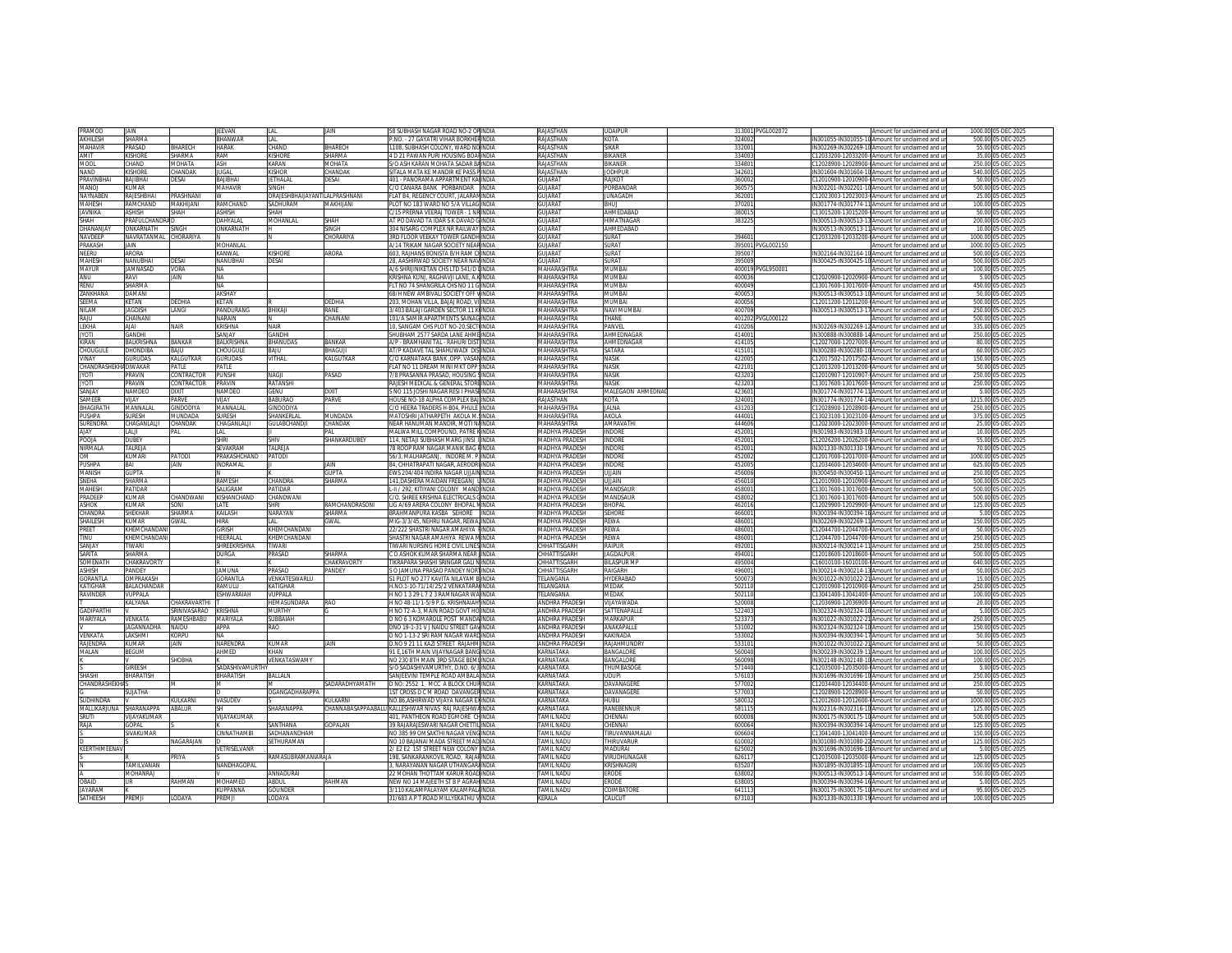| PRAMOD                      | IAIN                           |                      | <b>IFFVAN</b>             | I AI                           | <b>JAIN</b>     | 58 SUBHASH NAGAR ROAD NO-2 ORINDIA                                        |              | <b>RAJASTHAN</b>           | <b>UDAIPUR</b>        | 313001 PVGL002072 | Amount for unclaimed and u                                                                          | 1000.00 05-DEC-2025                     |
|-----------------------------|--------------------------------|----------------------|---------------------------|--------------------------------|-----------------|---------------------------------------------------------------------------|--------------|----------------------------|-----------------------|-------------------|-----------------------------------------------------------------------------------------------------|-----------------------------------------|
| AKHILESH                    | HARMA                          |                      | BHANWAF                   | LAL                            |                 | P.NO. - 27 GAYATRI VIHAR BORKHERINDIA                                     |              | RAJASTHAN                  | KOTA                  | 324002            | IN301055-IN301055-10 Amount for unclaimed and u                                                     | 500.00 05-DEC-2025                      |
| MAHAVIR                     | <b>RASAD</b>                   | <b>HARECH</b>        | <b>HARAK</b>              | CHAND                          | RHARECH         | 1108, SUBHASH COLONY, WARD NOINDIA                                        |              | <b>RAJASTHAN</b>           | <b>SIKAR</b>          | 33200             | IN302269-IN302269-10 Amount for unclaimed and u                                                     | 55.00 05-DEC-2025                       |
| AMIT                        | <b>ISHORE</b>                  | <b>HARMA</b>         | RAM                       | <b>KISHORE</b>                 | SHARMA          | 4 D 21 PAWAN PURI HOUSING BOAHNDIA                                        |              | RAJASTHAN                  | BIKANER               | 334003            | 12033200-12033200-0Amount for unclaimed and u                                                       | 35.00 05-DEC-2025                       |
|                             | HAND                           | MOHATA               |                           |                                |                 |                                                                           |              |                            |                       |                   |                                                                                                     |                                         |
| MOOL                        |                                |                      | ASH                       | KARAN                          | MOHATA          | S/O ASH KARAN MOHATA SADAR BAINDIA                                        |              | RAJASTHAN                  | BIKANER               | 334801            | C12028900-12028900-0Amount for unclaimed and ur                                                     | 250.00 05-DEC-2025                      |
| NAND                        | <b>ISHORE</b>                  | <b>HANDAK</b>        | <b>ILIGAL</b>             | KISHOF                         | <b>HANDAK</b>   | SITALA MATA KE MANDIR KE PASS PINDIA                                      |              | <b>RAJASTHAN</b>           | <b>IODHPUR</b>        | 342601            | IN301604-IN301604-10 Amount for unclaimed and u                                                     | 540.00 05-DEC-2025                      |
| PRAVINBHAI                  | <b>IAHBILAS</b>                | <b>DESAI</b>         | <b>BAJIBHA</b>            | ETHALAL                        | <b>JESAI</b>    | 401 - PANORAMA APPARTMENT KALINDIA                                        |              | <b>GUJARAT</b>             | RAJKOT                | 36000             | 12010900-12010900-@Amount for unclaimed and ur                                                      | 50.00 05-DEC-2025                       |
| MANOI                       | <b>HAMLI</b>                   |                      | MAHAVIR                   | SINGH                          |                 | C/O CANARA BANK PORBANDAR INDIA                                           |              | GUIARA1                    | PORRANDAR             | 360575            | IN302201-IN302201-10 Amount for unclaimed and u                                                     | 500.00 05-DEC-2025                      |
| NAYNABEN                    | A IESHBHAI                     | PRASHNAN             | W                         | ORAJESHBHAIJAYANTILALPRASHNANI |                 | FLAT B4, REGENCY COURT, JALARAN INDIA                                     |              | GUJARAT                    | <b>JUNAGADH</b>       | 362001            | 12023003-12023003-(Amount for unclaimed and ur                                                      | 25.00 05-DEC-2025                       |
| MAHESH                      | RAMCHAND                       | MAKHIJANI            | RAMCHAND                  | SADHURAM                       | MAKHUANI        | PLOT NO 183 WARD NO 5/A VILLAGINDIA                                       |              | GUJARA1                    | <b>BHUJ</b>           | 370201            | IN301774-IN301774-11 Amount for unclaimed and u                                                     | 100.00 05-DEC-2025                      |
| JAVNIKA                     | SHISH                          | SHAH                 | ASHISH                    | SHAH                           |                 | C/15 PRERNA VEERA LTOWER - 1 NRINDIA                                      |              | GUJARAT                    | AHMEDABAD             | 380015            | 13015200-13015200-0Amount for unclaimed and u                                                       | 50.00 05-DEC-2025                       |
| <b>HAH</b>                  | <b>RAFULCHANDRA</b>            |                      | DAHYALAL                  | MOHANLAL                       | HAH             | AT PO DAVAD TA IDAR S K DAVAD GINDIA                                      |              | GUJARAT                    | <b>HIMATNAGAR</b>     | 38322             | N300513-IN300513-13 Amount for unclaimed and u                                                      | 200.00 05-DEC-2025                      |
|                             |                                |                      |                           |                                | <b>INGH</b>     |                                                                           |              |                            |                       |                   |                                                                                                     |                                         |
| <b>DHANANIA</b>             | <b>ΠΑΙΚΑΡΝΑΤΗ</b>              | <b>SINGH</b>         | ONKARNATH                 |                                |                 | 304 NISARG COMPLEX NR RAILWAY INDIA                                       |              | GUIARA1                    | AHMEDARAD             |                   | IN300513-IN300513-11Amount for unclaimed and u                                                      | 10.00 05-DEC-2025                       |
| NAVDEEP                     | <b>JAVRATANMAL</b>             | HORARIYA             |                           |                                | <b>HORARIYA</b> | 3RD FLOOR VEEKAY TOWER GANDHINDIA                                         |              | <b>GUJARAT</b>             | SURAT                 | 394601            | 12033200-12033200-0Amount for unclaimed and ur                                                      | 1000.00 05-DEC-2025                     |
| PRAKASH                     | AIN                            |                      | MOHANLAI                  |                                |                 | A/14 TRIKAM NAGAR SOCIETY NEARINDIA                                       |              | GUJARAT                    | SURA <sup>T</sup>     | 395001 PVGL002150 | Amount for unclaimed and u                                                                          | 1000.00 05-DEC-2025                     |
| NEERU                       | ARORA                          |                      | KANWAL                    | <b>KISHORE</b>                 | ARORA           | 603 RAIHANS BONISTA B/H RAM CHINDIA                                       |              | <b>GUJARAT</b>             | SURAT                 | 395007            | IN302164-IN302164-10 Amount for unclaimed and u                                                     | 500.00 05-DEC-2025                      |
| <b>AAHESH</b>               | <b>JANUBHAI</b>                | ESAI                 | NANUBHA                   | <b>JESAI</b>                   |                 | 28, AASHIRWAD SOCIETY NEAR NAVINDIA                                       |              | UJARA1                     | URA <sup>1</sup>      | 395009            | N300425-IN300425-10 Amount for unclaimed and ur                                                     | 500.00 05-DEC-2025                      |
| MAYUR                       | <b>IAMNASAD</b>                | VORA                 | <b>NA</b>                 |                                |                 | A/6 SHRIJINIKETAN CHS LTD 541/D LINDIA                                    |              | <b>MAHARASHTRA</b>         | MI IMRA               | 400019 PVGL950001 | Amount for unclaimed and u                                                                          | 100.00 05-DEC-2025                      |
|                             |                                |                      |                           |                                |                 |                                                                           |              |                            | MUMBA                 |                   |                                                                                                     |                                         |
| ANU                         | ravi                           | JAIN                 | <b>NA</b>                 |                                |                 | KRISHNA KUNJ, RAGHAVJI LANE, A.KINDIA                                     |              | MAHARASHTRA                |                       | 400036            | 12020900-12020900-0Amount for unclaimed and ur                                                      | 5.00 05-DEC-2025                        |
| renu                        | SHARMA                         |                      | <b>NA</b>                 |                                |                 | FLT NO 74 SHANGRILA CHS NO 11 GINDIA                                      |              | MAHARASHTRA                | MI IMRA               | 400049            | 213017600-13017600-0Amount for unclaimed and u                                                      | 450.00 05-DEC-2025                      |
| <b>ZANKHAN</b>              | DAMANI                         |                      | <b>AKSHAY</b>             |                                |                 | 68/H NEW AMBIVALI SOCIETY OFF VINDIA                                      |              | <b>MAHARASHTRA</b>         | MUMBAI                | 40005             | IN300513-IN300513-10IAmount for unclaimed and u                                                     | 50.00 05-DEC-2025                       |
| EEMA                        | ETAN.                          | <b>EDHIA</b>         | KETAN                     |                                | DEDHIA          | 203, MOHAN VILLA, BAJAJ ROAD, VI INDIA                                    |              | <b>MAHARASHTRA</b>         | MUMBA                 | 400056            | 12011200-12011200-@Amount for unclaimed and ur                                                      | 500.00 05-DEC-2025                      |
| NILAM                       | <b>JAGDISH</b>                 | LANGI                | PANDURANG                 | BHIKAJI                        | RANF            | 3/403 BALAJI GARDEN SECTOR 11 KIINDIA                                     |              | MAHARASHTRA                | NAVI MUMBA            | 400709            | IN300513-IN300513-17 Amount for unclaimed and u                                                     | 250.00 05-DEC-2025                      |
| RAJU                        | CHAINANI                       |                      | NARAIN                    |                                | CHAINANI        | 101/A SAMIR APARTMENTS SAINAGINDIA                                        |              | MAHARASHTRA                | THANF                 | 401202 PVGL000122 | Amount for unclaimed and u                                                                          | 500.00 05-DEC-2025                      |
|                             | <b>AJAI</b>                    | <b>NAIR</b>          | KRISHNA                   | <b>NAIR</b>                    |                 |                                                                           |              | MAHARASHTRA                | PANVEL                |                   |                                                                                                     |                                         |
| LEKHA                       |                                |                      |                           |                                |                 | 10, SANGAM CHS PLOT NO-20, SECT INDIA                                     |              |                            |                       | 410206            | IN302269-IN302269-12 Amount for unclaimed and u                                                     | 335.00 05-DEC-2025                      |
| <b>ITOYL</b>                | <b>SANDHI</b>                  |                      | SANJAY                    | GANDHI                         |                 | SHUBHAM 2577 SARDA LANE AHMEINDIA                                         |              | MAHARASHTRA                | AHMEDNAGAR            | 414001            | N300888-IN300888-14 Amount for unclaimed and ur                                                     | 250.00 05-DEC-2025                      |
| Kiran                       | <b>BALKRISHNA</b>              | BANKAR               | BALKRISHNA                | BHANUDAS                       | BANKAR          | A/P - BRAMHANI TAL - RAHURI DISTIINDIA                                    |              | MAHARASHTRA                | AHMEDNAGAR            | 41410             | 212027000-12027000-0Amount for unclaimed and u                                                      | 80.00 05-DEC-2025                       |
| <b>CHOUGUL</b>              | DHONDIRA                       | RAILL                | CHOLIGULE                 | RAILL                          | RHAGHI          | AT/P KADAVE TAL SHAHUWADI DISINDIA                                        |              | MAHARASHTRA                | SATARA                | 41510             | IN300280-IN300280-10 Amount for unclaimed and u                                                     | 60.00 05-DEC-2025                       |
| VINAY                       | <b>SURUDAS</b>                 | KALGUTKAR            | <b>GURUDAS</b>            | VITHAL                         | KALGUTKAR       | C/O KARNATAKA BANK ,OPP. VASANINDIA                                       |              | MAHARASHTRA                | <b>NASK</b>           | 422005            | C12017502-12017502-0Amount for unclaimed and ur                                                     | 150.00 05-DEC-2025                      |
| <b>CHANDRASHEKHADIWAKAR</b> |                                | PATIF                | PATI F                    |                                |                 | FLAT NO 11 DREAM MINI MKT OPP INDIA                                       |              | MAHARASHTRA                | <b>NASK</b>           | 422101            | C12013200-12013200-0Amount for unclaimed and ur                                                     | 50.00 05-DEC-2025                       |
| <b>IYOTI</b>                | PRAVIN                         | CONTRACTOR           | <b>PLINSHI</b>            | <b>NAGIL</b>                   | PASAD           | 7/8 PRASANNA PRASAD, HOUSING SINDIA                                       |              | MAHARASHTRA                | <b>NASK</b>           | 423203            | C12010907-12010907-0Amount for unclaimed and u                                                      | 250.00 05-DEC-2025                      |
|                             |                                |                      |                           |                                |                 |                                                                           |              |                            |                       |                   |                                                                                                     |                                         |
| <b>ITOYI</b>                | <b>RAVIN</b>                   | <b>CONTRACTOR</b>    | PRAVIN                    | RATANSHI                       |                 | RAJESH MEDICAL & GENERAL STOREINDIA                                       |              | <b>MAHARASHTRA</b>         | <b>NASIK</b>          | 42320             | C13017600-13017600-DAmount for unclaimed and ur                                                     | 250.00 05-DEC-2025                      |
| <b>SANJAY</b>               | NAMDEO                         | <b>DIXIT</b>         | NAMDEO                    | <b>GENU</b>                    | <b>DIXIT</b>    | S NO 115 JOSHI NAGAR RESI I PHASEINDIA                                    |              | MAHARASHTRA                | MALEGAON AHMEDNA      | 42360             | IN301774-IN301774-11 Amount for unclaimed and u                                                     | 5.00 05-DEC-2025                        |
| SAMEER                      | /IJAY                          | ARVE                 | VIJAY                     | <b>BABURAO</b>                 | PARVE           | HOUSE NO-18 ALPHA COMPLEX BAJ INDIA                                       |              | RAJASTHAN                  | KOTA                  | 324001            | IN301774-IN301774-14 Amount for unclaimed and ur                                                    | 1215.00 05-DEC-2025                     |
| BHAGIRATH                   | MANNALAL                       | <b>SINDODIYA</b>     | MANNALAL                  | GINDODIYA                      |                 | C/O HEERA TRADERS H-B04, PHULE INDIA                                      |              | MAHARASHTRA                | JALNA                 | 43120             | C12028900-12028900-0Amount for unclaimed and u                                                      | 250.00 05-DEC-2025                      |
| PUSHPA                      | <b>LIRESH</b>                  | MUNDADA              | <b>SURESH</b>             | SHANKERI AI                    | MUNDADA         | MATOSHRI IATHARPETH AKOLA MAINDIA                                         |              | MAHARASHTRA                | AKOLA                 | 444001            | C13023100-13023100-0Amount for unclaimed and u                                                      | 375.00.05-DEC-2025                      |
|                             |                                |                      |                           |                                |                 |                                                                           |              | <b>AAHARASHTRA</b>         |                       |                   |                                                                                                     |                                         |
| URENDRA                     | HAGANLALJI                     | HANDAK               | CHAGANLALJI               | <b>GULABCHAND.</b>             | <b>HANDAK</b>   | NEAR HANUMAN MANDIR, MOTI NAINDIA                                         |              |                            | AMRAVATI              | 444606            | 12023000-12023000-0Amount for unclaimed and ur                                                      | 25.00 05-DEC-2025                       |
| YALA                        | ALJI                           | ۵N                   | LAL                       |                                |                 | MALWA MILL COMPOUND. PATRE KINDIA                                         |              | MADHYA PRADESH             | <b>INDORE</b>         | 45200             | IN301983-IN301983-10 Amount for unclaimed and u                                                     | 10.00 05-DEC-2025                       |
| <b>POOIA</b>                | <b>DUBEY</b>                   |                      | <b>SHRI</b>               | SHIV                           | SHANKARDUBEY    | 114. NETAJI SUBHASH MARG JINSI ILINDIA                                    |              | MADHYA PRADESH             | <b>INDORF</b>         | 452001            | C12026200-12026200-0Amount for unclaimed and ur                                                     | 55.00 05-DEC-2025                       |
| NIRMALA                     | TALREJA                        |                      | SEVAKRAM                  | TALREJA                        |                 | 78 ROOP RAM NAGAR MANIK BAG FINDIA                                        |              | <b>MADHYA PRADESH</b>      | <b>INDORE</b>         | 452001            | IN301330-IN301330-19 Amount for unclaimed and u                                                     | 70.00 05-DEC-2025                       |
| <b>MO</b>                   | <b>UMARI</b>                   | <b>ATODI</b>         | PRAKASHCHAND              | PATODI                         |                 | 56/3 MAI HARGANT. INDORE M. P INDIA                                       |              | <b>MADHYA PRADESH</b>      | INDORI                | 452002            | :12017000-12017000-0Amount for unclaimed and u                                                      | 1000.00.05-DEC-2025                     |
| PUSHPA                      | <b>IA</b>                      | AIN                  | INDRAMAL                  |                                | JAIN            | 84. CHHATRAPATI NAGAR. AERODRUNDIA                                        |              | <b>MADHYA PRADESH</b>      | INDORI                | 45200             | 12034600-12034600-0Amount for unclaimed and ur                                                      | 625.00 05-DEC-2025                      |
| MANISH                      | GUPTA                          |                      |                           |                                | <b>GLIPTA</b>   |                                                                           |              |                            |                       | 45600             |                                                                                                     |                                         |
|                             |                                |                      |                           |                                |                 | EWS 204/404 INDIRA NAGAR UJJAININDIA                                      |              | MADHYA PRADESH             | VIALU                 |                   | IN300450-IN300450-11 Amount for unclaimed and u                                                     | 250.00 05-DEC-2025                      |
| SNEHA                       | HARMA                          |                      | <b>RAMESH</b>             | CHANDRA                        | HARMA           | 141, DASHERA MAIDAN FREEGANJ LINDIA                                       |              | <b>MADHYA PRADESH</b>      | UJJAIN                | 456010            | 12010900-12010900-0Amount for unclaimed and u                                                       | 500.00 05-DEC-2025                      |
| <b>MAHESH</b>               | <b>ATIDAR</b>                  |                      | <b>SALIGRAM</b>           | PATIDAR                        |                 | L-II / 292, KITIYANI COLONY MANDINDIA                                     |              | MADHYA PRADESH             | MANDSAUR              | 458001            | C13017600-13017600-DAmount for unclaimed and ur                                                     | 500.00 05-DEC-2025                      |
| PRADEEP                     | <b>UMAR</b>                    | HANDWANI:            | KISHANCHAND               | CHANDWANI                      |                 | C/O SHREE KRISHNA ELECTRICALS CINDIA                                      |              | <b>MADHYA PRADESH</b>      | MANDSAUR              | 458002            | C13017600-13017600-0Amount for unclaimed and ur                                                     | 500.00 05-DEC-2025                      |
| ASHOK                       | UMAR                           | ino                  | LATE                      | HRI                            | AMCHANDRASONI   | LIG A/69 ARERA COLONY BHOPAL NINDIA                                       |              | <b>MADHYA PRADESH</b>      | <b>HOPAL</b>          | 462016            | 12029900-12029900-0Amount for unclaimed and ur                                                      | 125.00 05-DEC-2025                      |
| <b>HANDRA</b>               | <b>HFKHAR</b>                  | SHARMA               | KAILASH                   | NARAYAN                        | <b>HARMA</b>    | BRAHMANPURA KASBA SEHORE                                                  | <b>INDIA</b> | <b>MADHYA PRADESH</b>      | SEHORE                | 46600             | IN300394-IN300394-16 Amount for unclaimed and u                                                     | 5.00 05-DEC-2025                        |
| SHAILESH                    | UMAR                           | <b>GWAL</b>          | HIRA                      |                                | <b>SWAL</b>     | MIG-3/3/45, NEHRU NAGAR, REWA, INDIA                                      |              | MADHYA PRADESH             | <b>REWA</b>           | 486001            | IN302269-IN302269-11 Amount for unclaimed and u                                                     | 150.00 05-DEC-2025                      |
|                             |                                |                      |                           | LAL                            |                 |                                                                           |              |                            |                       |                   |                                                                                                     |                                         |
|                             |                                |                      |                           |                                |                 |                                                                           |              |                            |                       |                   |                                                                                                     | 50.00 05-DEC-2025                       |
| PREET                       | HEMCHANDAN                     |                      | GIRISH                    | KHEMCHANDANI                   |                 | 22/222 SHASTRI NAGAR AMAHIYA HINDIA                                       |              | MADHYA PRADESH             | <b>REWA</b>           | 486001            | C12044700-12044700-0Amount for unclaimed and u                                                      |                                         |
| TINU                        | <b>HEMCHANDAN</b>              |                      | <b>HEERALAI</b>           | KHFMCHANDANI                   |                 | SHASTRI NAGAR AMAHIYA REWA MINDIA                                         |              | <b>MADHYA PRADESH</b>      | RFWA                  | 486001            | C12044700-12044700-0Amount for unclaimed and u                                                      | 250.00 05-DEC-2025                      |
| SANJAY                      | <b>IWARI</b>                   |                      | SHREEKRISHNA              | <b>IWARI</b>                   |                 | IWARI NURSING HOME CIVIL LINES INDIA                                      |              | <b>CHHATTISGARH</b>        | Raipur                | 49200             | V300214-IN300214-11Amount for unclaimed and ur                                                      | 250.00 05-DEC-2025                      |
|                             | HARMA                          |                      |                           |                                | HARMA           |                                                                           |              |                            |                       |                   |                                                                                                     |                                         |
| SARITA                      |                                |                      | <b>DURGA</b>              | PRASAD                         |                 | C O ASHOK KUMAR SHARMA NEAR JINDIA                                        |              | CHHATTISGARH               | <b>JAGDALPUI</b>      | 49400             | 212018600-12018600-0Amount for unclaimed and ur                                                     | 500.00 05-DEC-2025                      |
| SOMENATH                    | CHAKRAVORTY                    |                      |                           |                                | CHAKRAVORTY     | TIKRAPARA SHASHI SRINGAR GALLNINDIA                                       |              | CHHATTISGARH               | <b>BILASPUR M</b>     | 495004            | C16010100-16010100-0Amount for unclaimed and u                                                      | 640.00 05-DEC-2025                      |
| <b>ASHISH</b>               | <b>ANDEY</b>                   |                      | JAMUNA                    | PRASAD                         | PANDEY          | <b>SO JAMUNA PRASAD PANDEY NORTINDIA</b>                                  |              | CHHATTISGARH               | RAIGARH               | 49600             | IN300214-IN300214-13 Amount for unclaimed and u                                                     | 50.00 05-DEC-2025                       |
| <b>GORANTI A</b>            | <b><i><u>DMPRAKASH</u></i></b> |                      | <b>GORANTI A</b>          | <b>VENKATESWARLU</b>           |                 | 31 PLOT NO 277 KAVITA NII AYAM RIINDIA                                    |              | <b>FFI ANGANA</b>          | <b>HYDERABAC</b>      | 50007             | IN301022-IN301022-21 Amount for unclaimed and u                                                     | 15.00 05-DEC-2025                       |
| ATIGHAR                     | <b>ALACHANDAR</b>              |                      | RAMULU                    | <b>ATIGHAR</b>                 |                 | I.NO.1-10-71/14/25/2 VENKATARA INDIA                                      |              | ELANGANA                   | MEDAK                 | 50211             | 12010900-12010900-0Amount for unclaimed and u                                                       | 250.00 05-DEC-2025                      |
| <b>AVINDER</b>              | <b>TJPPALA</b>                 |                      | <b>ESHWARAIAH</b>         | VUPPALA                        |                 | H NO 1 3 29 L 7 2 3 RAMNAGAR WAINDIA                                      |              | TFI ANGANA                 | MEDAK                 | 502110            | C13041400-13041400-0Amount for unclaimed and u                                                      | 100.00 05-DEC-2025                      |
|                             | ALYANA                         | HAKRAVARTHI:         |                           | HEMASUNDARA                    | RAO             | H NO 48-11/1-5/9 P.G. KRISHNAIAH INDIA                                    |              | ANDHRA PRADESH             | VIJAYAWADA            | 520008            | 12036900-12036900-0Amount for unclaimed and ur                                                      | 20.00 05-DEC-2025                       |
| GADIPARTHI                  |                                | SRINIVASARAO KRISHNA |                           | MURTHY                         |                 | H NO T2-A-3, MAIN ROAD GOVT HO INDIA                                      |              | <b>ANDHRA PRADESH</b>      | SATTENAPALLE          | 522403            | IN302324-IN302324-10 Amount for unclaimed and ur                                                    | 5.00 05-DEC-2025                        |
|                             | VENKATA                        |                      |                           | SUBBAIAH                       |                 | D NO 6.3 KOMAROLE POST MANDAINDIA                                         |              | <b>ANDHRA PRADESH</b>      | MARKAPLIR             | 523373            | IN301022-IN301022-21 Amount for unclaimed and u                                                     |                                         |
| MARIYALA                    |                                | RAMESHBABU           | <b>MARIYALA</b>           |                                |                 |                                                                           |              |                            |                       |                   |                                                                                                     | 250.00 05-DEC-2025                      |
|                             | <b>GANNADH</b>                 | <b>AIDU</b>          | APPA                      | RAO                            |                 | ONO 19-1-31 V J NAIDU STREET GAVINDIA                                     |              | <b>ANDHRA PRADESH</b>      | ANAKAPALL             | 53100             | N302324-IN302324-10 Amount for unclaimed and ur                                                     | 150.00 05-DEC-2025                      |
| <b>/ENKATA</b>              | LAKSHMI                        | <b>CORPU</b>         | NΔ                        |                                |                 | D NO 1-13-2 SRI RAM NAGAR WARDINDIA                                       |              | ANDHRA PRADESH             | <b>KAKINADA</b>       | 533002            | IN300394-IN300394-17 Amount for unclaimed and u                                                     | 50.00 05-DEC-2025                       |
| RAJENDRA                    | UMAR <sup>®</sup>              | JAIN                 | NARENDRA                  | <b>KUMAR</b>                   | <b>JAIN</b>     | D.NO 9 21 11 KAZI STREET RAJAHM INDIA                                     |              | ANDHRA PRADESH             | <b>RAJAHMUNDR</b>     | 533101            | IN301022-IN301022-21 Amount for unclaimed and ur                                                    | 50.00 05-DEC-2025                       |
| MALAN                       | BEGUM                          |                      | AHMED                     | KHAN                           |                 | 91 E,16TH MAIN VUAYNAGAR BANGINDIA                                        |              | KARNATAKA                  | <b>BANGALORE</b>      | 560040            | IN300239-IN300239-11 Amount for unclaimed and u                                                     | 100.00 05-DEC-2025                      |
|                             |                                | SHORHA               |                           | VENKATASWAMY                   |                 | NO 230 8TH MAIN 3RD STAGE BEMI INDIA                                      |              | KARNATAKA                  | <b>BANGALORE</b>      | 560098            | IN302148-IN302148-10 Amount for unclaimed and u                                                     | 100.00.05-DEC-2025                      |
|                             | <b>IRFFSH</b>                  |                      |                           |                                |                 |                                                                           |              |                            | <b>HUMBASOGI</b>      |                   |                                                                                                     |                                         |
|                             |                                |                      | SADASHIVAMURTHY           |                                |                 | S/O SADASHIVAMURTHY, D.NO. 6/3 INDIA                                      |              | <b><i>CARNATAKA</i></b>    |                       | 571440            | 12035000-12035000-0Amount for unclaimed and ur                                                      | 5.00 05-DEC-2025                        |
| SHASHI                      | BHARATISH                      |                      | <b>BHARATISH</b>          | <b>BALLALN</b>                 |                 | SANJEEVINI TEMPLE ROAD AMBALA INDIA                                       |              | KARNATAKA                  | <b>LIDUPI</b>         | 57610             | IN301696-IN301696-10 Amount for unclaimed and u                                                     | 250.00 05-DEC-2025                      |
| CHANDRASHEKH                |                                |                      | M                         |                                | SADARADHYAMATH  | D NO: 2552 1 MCC A BLOCK CHURINDIA                                        |              | KARNATAKA                  | DAVANAGERE            | 577002            | C12034400-12034400-0Amount for unclaimed and u                                                      | 250.00 05-DEC-2025                      |
|                             | <b>AHTALU3</b>                 |                      |                           | OGANGADHARAPPA                 |                 | 1ST CROSS D C M ROAD DAVANGERINDIA                                        |              | KARNATAKA                  | DAVANAGERE            | 577003            | 212028900-12028900-0Amount for unclaimed and u                                                      | 50.00 05-DEC-2025                       |
| slidhindra                  |                                | (ULKARNI             | VASUDEV                   |                                | (ULKARN         | NO.86.ASHIRWAD VIJAYA NAGAR EXINDIA                                       |              | KARNATAKA                  | HUBLI                 | 580033            | C12012600-12012600-0Amount for unclaimed and u                                                      | 1000.00 05-DEC-2025                     |
| MALLIKARJUNA                | HARANAPPA                      | ABALUR               | SН                        | SHARANAPPA                     |                 | HANNABASAPPAABALU KALLESHWAR NIVAS RAJ RAJESHWAINDIA                      |              | <b><i>CARNATAKA</i></b>    | RANEBENNUR            | 58111!            | IN302316-IN302316-10 Amount for unclaimed and ur                                                    | 125.00 05-DEC-2025                      |
|                             |                                |                      |                           |                                |                 |                                                                           |              |                            |                       |                   |                                                                                                     |                                         |
| SRUTI                       | <b>IJAYAKUMAR</b>              |                      | VIJAYAKUMAR               |                                |                 | 401, PANTHEON ROAD EGMORE CHINDIA                                         |              | TAMIL NADU                 | CHENNAI               | 600008            | IN300175-IN300175-10 Amount for unclaimed and u                                                     | 500.00 05-DEC-2025                      |
| RAJA                        | <b>OPAL</b>                    |                      |                           | SANTHANA                       | <b>GOPALAN</b>  | 39 RAJARAJESWARI NAGAR CHETTILINDIA                                       |              | <b>TAMIL NADU</b>          | :HENNAI               | 600064            | IN300394-IN300394-14 Amount for unclaimed and ur                                                    | 125.00 05-DEC-2025                      |
|                             | <b>IVAKUMAR</b>                |                      | <b>CINNATHAMRI</b>        | SADHANANDHAM                   |                 | NO 385 99 OMSAKTHI NAGAR VENGINDIA                                        |              | <b><i>FAMIL NADLI</i></b>  | TIRUVANNAMALAI        | 606604            | C13041400-13041400-0Amount for unclaimed and ur                                                     | 150.00 05-DEC-2025                      |
|                             |                                | NAGARAJAN            |                           | SETHURAMAN                     |                 | NO 10 BAJANAI MADA STREET MADIINDIA                                       |              | <b>TAMIL NADU</b>          | <b>THIRLIVARLIR</b>   | 610002            | IN301080-IN301080-22 Amount for unclaimed and u                                                     | 125.00 05-DEC-2025                      |
| <b>KEERTHIMEENA\</b>        |                                |                      | VETRISELVANR              |                                |                 | 2/ E2 E2 1ST STREET NEW COLONY INDIA                                      |              | <b><i>FAMIL NADLI</i></b>  | MADURAI               | 62500             | N301696-IN301696-10 Amount for unclaimed and ur                                                     | 5.00 05-DEC-2025                        |
|                             |                                | <b>PRIYA</b>         |                           | RAMASUBRAMANIARAJA             |                 | 198. SANKARANKOVIL ROAD. RAJAHINDIA                                       |              | <b>TAMIL NADU</b>          | VIRUDHUNAGAF          | 62611             | 212035000-12035000-0Amount for unclaimed and u                                                      | 125.00 05-DEC-2025                      |
|                             |                                |                      |                           |                                |                 |                                                                           |              |                            | KRISHNAGIR            |                   |                                                                                                     |                                         |
|                             | AMILVANAN                      |                      | NANDHAGOPAL               |                                |                 | 3, NARAYANAN NAGAR UTHANGAR/INDIA                                         |              | TAMIL NADU                 |                       | 635207            | IN301895-IN301895-10 Amount for unclaimed and u                                                     | 100.00 05-DEC-2025                      |
|                             | <b>MOHANRAJ</b>                |                      |                           | ANNADURAI                      |                 | 22 MOHAN THOTTAM KARUR ROADINDIA                                          |              | TAMIL NADU                 | ERODE                 | 638002            | IN300513-IN300513-14 Amount for unclaimed and u                                                     | 550.00 05-DEC-2025                      |
| <b>OBAID</b>                | IR.                            | <b>AHMAN</b>         | <b>MOHAMED</b>            | ARDUI                          | RAHMAN          | NEW NO 14 MA IFFTH ST B P AGRAHINDIA                                      |              | TAMII NADU                 | <b>FRODE</b>          | 638005            | IN300394-IN300394-16 Amount for unclaimed and u                                                     | 5.00 05-DEC-2025                        |
| JAYARAM<br>SATHEESH         | PREMJI                         | ODAYA.               | <b>CUPPANNA</b><br>PREMJI | GOUNDER<br>LODAYA              |                 | 3/110 KALAMPALAYAM KALAMPALAINDIA<br>31/683 A P T ROAD MILLYEKATHU VINDIA |              | <b>AMIL NADU</b><br>KERALA | COIMBATORE<br>CALICUT | 64111<br>67310    | N300175-IN300175-10 Amount for unclaimed and ur<br>IN301330-IN301330-19 Amount for unclaimed and ur | 95.00 05-DEC-2025<br>100.00 05-DEC-2025 |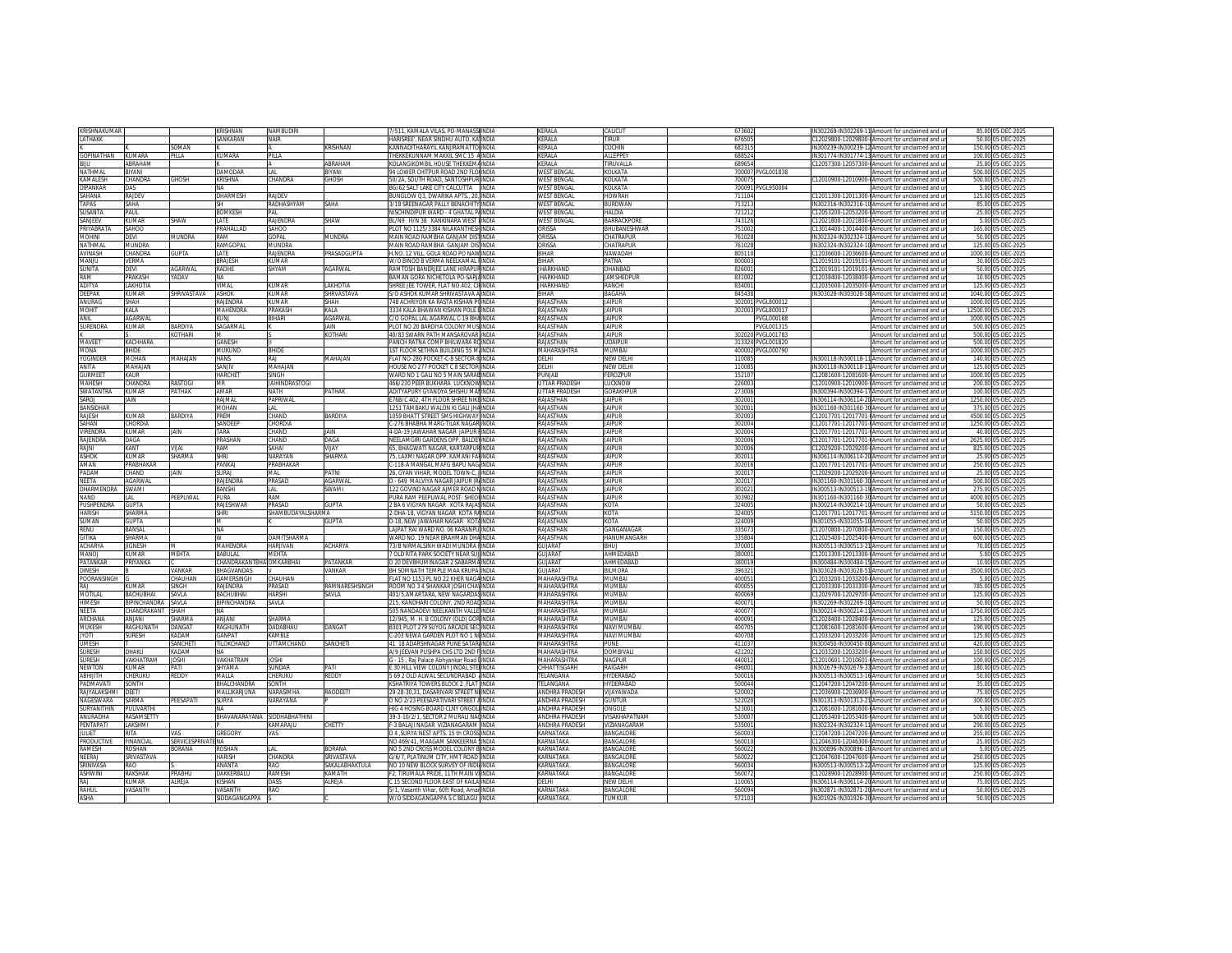| <b>KRISHNAKLIMAR</b> |                    |                           | KRISHNAN                        | NAMBUDIRI             |                   | 7/511, KAMALA VILAS, PO-MANASSI INDIA                                          | <b>KFRALA</b>          | CALICUT                              | 673602           |                   | IN302269-IN302269-11 Amount for unclaimed and ur                                                    | 85.00 05-DEC-2025                      |
|----------------------|--------------------|---------------------------|---------------------------------|-----------------------|-------------------|--------------------------------------------------------------------------------|------------------------|--------------------------------------|------------------|-------------------|-----------------------------------------------------------------------------------------------------|----------------------------------------|
| LATHAKK              |                    |                           | SANKARAN                        | NAIR                  |                   | HARISREE'. NEAR SINDHU AUTO. KAIINDIA                                          | KERALA                 | <b>IRUR</b>                          | 676505           |                   | 12029800-12029800-0Amount for unclaimed and ur                                                      | 50.00 05-DEC-2025                      |
|                      |                    | <b>SOMAN</b>              |                                 |                       | KRISHNAN          | KANNADITHARAYIL KANJIRAMATTO INDIA                                             | <b>KFRAIA</b>          | <b>COCHIN</b>                        | 682315           |                   | IN300239-IN300239-12 Amount for unclaimed and ur                                                    | 150.00 05-DEC-2025                     |
| GOPINATHAN           | KUMARA             | PIIIA                     | KUMARA                          | PILLA                 |                   | THEKKEKUNNAM MAKKIL SMC 15 AINDIA                                              | KERALA                 | ALLEPPEY                             | 688524           |                   | IN301774-IN301774-13 Amount for unclaimed and ur                                                    | 100.00 05-DEC-2025                     |
| <b>BIJU</b>          | ARRAHAM            |                           |                                 |                       | ARRAHAM           | KOLANGIKOMBIL HOUSE THEKKEMAINDIA                                              | KERALA                 | <b>TIRUVALLA</b>                     | 689654           |                   | C12057300-12057300-0Amount for unclaimed and ur                                                     | 25.00 05-DEC-2025                      |
| NATHMAI              | <b>BIYANI</b>      |                           | DAMODAR                         |                       | <b>BIYANI</b>     | 94 LOWER CHITPUR ROAD 2ND ELOUNDIA                                             | <b>WEST BENGAL</b>     | <b>COLKATA</b>                       |                  |                   |                                                                                                     | 500.00 05-DEC-2025                     |
|                      |                    |                           |                                 | I AI                  |                   |                                                                                |                        |                                      |                  | 700007 PVGL001838 | Amount for unclaimed and ur                                                                         |                                        |
| KAMAI ESH            | HANDRA:            | <b>GHOSH</b>              | KRISHNA                         | HANDRA:               | GHOSH             | 50/2A, SOUTH ROAD, SANTOSHPUR INDIA                                            | <b>WEST BENGAL</b>     | <b>OI KATA</b>                       | 700075           |                   | 12010900-12010900-@Amount for unclaimed and ur                                                      | 500.00 05-DEC-2025                     |
| DIPANKAR             | DAS                |                           | <b>NA</b>                       |                       |                   | BG/62 SALT LAKE CITY CALCUTTA INDIA                                            | <b>WEST BENGAL</b>     | KOI KATA                             |                  | 700091 PVGL950004 | Amount for unclaimed and ur                                                                         | 5.00 05-DEC-2025                       |
| SAHANA               | RAJDEV             |                           | <b>DHARMESH</b>                 | RAIDEV                |                   | BUNGLOW Q3, DWARIKA APTS., 20, INDIA                                           | <b>WEST BENGAL</b>     | HOWRAH                               | 711104           |                   | 12011300-12011300-0Amount for unclaimed and ur                                                      | 125.00 05-DEC-2025                     |
| <b>TAPAS</b>         | SAHA               |                           | <b>SH</b>                       | RADHASHYAM            | SAHA              | 3/18 SREENAGAR PALLY BENACHITY INDIA                                           | <b>WEST BENGAL</b>     | <b>BURDWAN</b>                       | 713213           |                   | IN302316-IN302316-10 Amount for unclaimed and ur                                                    | 85.00 05-DEC-2025                      |
| SUSANTA              | PAUL               |                           | <b>BOMKESH</b>                  | PAI                   |                   | NISCHINDIPUR WARD - 4 GHATAL PAINDIA                                           | <b>WEST BENGAL</b>     | AIN IAH                              | 721212           |                   | 12053200-12053200-0Amount for unclaimed and ur                                                      | 25.00 05-DEC-2025                      |
| SANJEEV              | KUMAR              | SHAW                      | LATE                            | RAJENDRA              | SHAW              | BL/N9 H/N 38 KANKINARA WEST HNDIA                                              | <b>WEST BENGAL</b>     | BARRACKPOR                           | 743126           |                   | C12021800-12021800-0Amount for unclaimed and ur                                                     | 5.00 05-DEC-2025                       |
| <b>PRIYARRATA</b>    | SAHOO              |                           | PRAHALLAD                       | <b>OOHA?</b>          |                   | PLOT NO 1125/3384 NILAKANTHESHINDIA                                            | ORISSA                 | <b>BHLIBANESHWAR</b>                 | 751002           |                   | C13014400-13014400-0Amount for unclaimed and ur                                                     | 165.00 05-DEC-2025                     |
| <b>INIHON</b>        | )evi               | MUNDRA                    | RAM                             | <b>GOPAL</b>          | MUNDRA            | MAIN ROAD RAMBHA GANJAM DISTINDIA                                              | ORISSA                 | <b>HATRAPUR</b>                      | 761028           |                   | IN302324-IN302324-10 Amount for unclaimed and ur                                                    | 50.00 05-DEC-2025                      |
| NATHMAL              | MUNDRA             |                           |                                 | MUNDRA                |                   |                                                                                |                        | <b>CHATRAPUR</b>                     |                  |                   |                                                                                                     |                                        |
|                      |                    |                           | RAMGOPAL                        |                       |                   | MAIN ROAD RAMBHA GANJAM DIS INDIA                                              | ORISSA                 |                                      | 761028           |                   | IN302324-IN302324-10 Amount for unclaimed and ur                                                    | 125.00 05-DEC-2025                     |
| <b>AVINASH</b>       | CHANDRA            | <b>GUPTA</b>              | <b>IATF</b>                     | RAJENDRA              | PRASADGUPTA       | H.NO. 12 VILL. GOLA ROAD PO NAWINDIA                                           | <b>BIHAR</b>           | NAWADAH                              | 805110           |                   | 12036600-12036600-0Amount for unclaimed and ur                                                      | 1000.00.05-DEC-2025                    |
| MANJU                | <b>/ERMA</b>       |                           | BRAJESH                         | (UMAR                 |                   | W/O BINOD B VERMA NEELKAMAL HINDIA                                             | <b>BIHAR</b>           | <b>PATNA</b>                         | 800003           |                   | 12019101-12019101-@Amount for unclaimed and ur                                                      | 30.00 05-DEC-2025                      |
| SUNITA               | DEVI               | AGARWAI                   | RADHE                           | SHYAM                 | <b>AGARWAI</b>    | RAMTOSH BANERJEE LANE HIRAPURINDIA                                             | <b>IHARKHAND</b>       | <b>HANRAL</b>                        | 826001           |                   | 212019101-12019101-0Amount for unclaimed and u                                                      | 50.00 05-DEC-2025                      |
| RAM                  | PRAKASH            | <b>ADAV</b>               | NA                              |                       |                   | BAMAN GORA NICHETOLA PO-SARJAINDIA                                             | <b>JHARKHAND</b>       | <b>JAMSHEDPUR</b>                    | 831002           |                   | 12038400-12038400-0Amount for unclaimed and un                                                      | 10.00 05-DEC-2025                      |
| <b>ADITYA</b>        | LAKHOTIA           |                           | VIMAI                           | KUMAR                 | LAKHOTIA          | SHREE JEE TOWER, FLAT NO.402, CINNDIA                                          | <b>JHARKHAND</b>       | RANCHI                               | 834001           |                   | C12035000-12035000-0Amount for unclaimed and ur                                                     | 125.00 05-DEC-2025                     |
| DEFPAK               | KUMAR              | SHRIVASTAVA               | <b>ASHOK</b>                    | KUMAR                 | SHRVASTAVA        | S/O ASHOK KUMAR SHRIVASTAVA AINDIA                                             | <b>BIHAR</b>           | <b>BAGAHA</b>                        | 845438           |                   | IN303028-IN303028-58 Amount for unclaimed and ur                                                    | 1040.00 05-DEC-2025                    |
|                      |                    |                           |                                 |                       |                   |                                                                                |                        |                                      |                  |                   |                                                                                                     |                                        |
| ANURAG               | SHAH               |                           | RAJENDRA                        | <b>UMAR</b>           | SHAH              | 748 ACHRIYON KA RASTA KISHAN POINDIA                                           | RAJASTHAN              | <b>AIPUR</b>                         |                  | 302001 PVGL800012 | Amount for unclaimed and ur                                                                         | 1000.00 05-DEC-2025                    |
| MOHIT                | KALA               |                           | <b>MAHENDRA</b>                 | PRAKASH               | KALA              | 3334 KALA BHAWAN KISHAN POLE BINDIA                                            | RAJASTHAN              | <b>JAIPUR</b>                        |                  | 302003 PVGL800017 | Amount for unclaimed and ur                                                                         | 12500.00 05-DEC-2025                   |
| ANII                 | <b>AGARWAL</b>     |                           | <b>KUNJ</b>                     | BIHARI                | <b>AGARWAL</b>    | C/O GOPAL LAL AGARWAL C-19 BHAINDIA                                            | RAJASTHAN              | <b>JAIPUR</b>                        |                  | PVGL000168        | Amount for unclaimed and ur                                                                         | 1000.00 05-DEC-2025                    |
| <b>SURENDRA</b>      | KUMAR              | BARDIYA                   | SAGARMAL                        |                       | JAIN              | PLOT NO 20 BARDIYA COLONY MUSIINDIA                                            | RAJASTHAN              | <b>JAIPUR</b>                        |                  | PVGL001315        | Amount for unclaimed and ur                                                                         | 500.00 05-DEC-2025                     |
|                      |                    | <b>COTHARI</b>            | M                               |                       | KOTHARI           | 40/83 SWARN PATH MANSAROVAR INDIA                                              | <b>RAJASTHAN</b>       | <b>IAIPUR</b>                        |                  | 302020 PVGL001783 | Amount for unclaimed and ur                                                                         | 500.00 05-DEC-2025                     |
| MAVEET               | <b>ACHHARA</b>     |                           | GANESH                          |                       |                   | PANCH RATNA COMP BHILWARA ROINDIA                                              | RAJASTHAN              | <b>JDAIPUR</b>                       |                  | 313324 PVGL001820 | Amount for unclaimed and ur                                                                         | 500.00 05-DEC-2025                     |
| MONA                 | RHIDE              |                           | MUKUND                          | RHIDE                 |                   | 1ST ELOOR SETHNA BUILDING 55 MUNDIA                                            | MAHARASHTRA            | MI IMRAI                             |                  | 400002 PVGL000790 | Amount for unclaimed and u                                                                          | 1000.00 05-DEC-2025                    |
| YOGINDER             | MOHAN              | MAHAJAN                   | <b>HANS</b>                     | RAI                   | <b>MAHAJAN</b>    | FLAT NO-280 POCKET-C-8 SECTOR-8 INDIA                                          | DELHI                  | NEW DELHI                            | 110085           |                   | N300118-IN300118-11 Amount for unclaimed and ur                                                     | 140.00 05-DEC-2025                     |
|                      |                    |                           |                                 |                       |                   |                                                                                |                        |                                      |                  |                   |                                                                                                     |                                        |
| ANITA                | MAHA JAN           |                           | SANJIV                          | MAHAIAN               |                   | HOUSE NO 277 POCKET C 8 SECTOR INDIA                                           | DEI HI                 | NEW DELHI                            | 110085           |                   | IN300118-IN300118-11 Amount for unclaimed and ur                                                    | 125.00 05-DEC-2025                     |
| <b>GURMEET</b>       | KALIR              |                           | <b>HARCHET</b>                  | SINGH                 |                   | WARD NO 1 GALLNO 5 MAIN SARARINDIA                                             | PUNJAB                 | <b>FFROZPUR</b>                      | 152107           |                   | 12081600-12081600-0Amount for unclaimed and ur                                                      | 1000.00 05-DEC-2025                    |
| MAHESH               | <b>HANDRA</b>      | RASTOGI                   | MR                              | <b>JAIHINDRASTOGI</b> |                   | 466/230 PEER BUKHARA LUCKNOW INDIA                                             | UTTAR PRADESH          | <b>UCKNOW</b>                        | 226003           |                   | 12010900-12010900-@Amount for unclaimed and ur                                                      | 200.00 05-DEC-2025                     |
| SWATANTRA            | KUMAR              | PATHAK                    | AMAR                            | <b>NATH</b>           | PATHAK            | ADITYAPURY GYANDYA SHISHU MAILINDIA                                            | <b>UTTAR PRADESH</b>   | <b>GORAKHPUI</b>                     | 273006           |                   | IN300394-IN300394-17 Amount for unclaimed and ur                                                    | 100.00 05-DEC-2025                     |
| SAROJ                | AIN                |                           | RAJMAL                          | PAPRIWAL              |                   | E76B/C 402, 4TH FLOOR SHREE NIKEINDIA                                          | RAJASTHAN              | <b>JAIPUR</b>                        | 302001           |                   | IN306114-IN306114-20 Amount for unclaimed and ur                                                    | 1250.00 05-DEC-2025                    |
| <b>BANSIDHAR</b>     |                    |                           | <b>MOHAN</b>                    | LAL                   |                   | 1251 TAMBAKU WALON KI GALI JHA INDIA                                           | RAJASTHAN              | <b>JAIPUR</b>                        | 302001           |                   | IN301160-IN301160-30 Amount for unclaimed and ur                                                    | 375.00 05-DEC-2025                     |
|                      |                    |                           |                                 |                       |                   |                                                                                |                        |                                      |                  |                   |                                                                                                     |                                        |
| RAIFSH               | KUMAR              | <b>BARDIYA</b>            | PREM                            | CHAND                 | <b>BARDIYA</b>    | 1059 BHATT STREET SMS HIGHWAY INDIA                                            | RAIASTHAN              | <b>IAIPUR</b>                        | 302003           |                   | 212017701-12017701-0Amount for unclaimed and ur                                                     | 4500.00 05-DEC-2025                    |
| SAHAN                | <b>HORDIA</b>      |                           | SANDEEP                         | <b>HORDIA</b>         |                   | -276 BHABHA MARG TILAK NAGAR INDIA                                             | RAJASTHAN              | AIPUR                                | 302004           |                   | 12017701-12017701-0Amount for unclaimed and ur                                                      | 1250.00<br>5-DEC-2025                  |
| <b>VIRENDRA</b>      | KUMAR              | JAIN                      | TARA                            | CHAND                 | <b>IAIN</b>       | 4-DA-19 JAWAHAR NAGAR JAIPUR HINDIA                                            | RAJASTHAN              | <b>JAIPUR</b>                        | 302004           |                   | C12017701-12017701-0Amount for unclaimed and ur                                                     | 40.00 05-DEC-2025                      |
| <b>RAIFNDRA</b>      | DAGA               |                           | PRASHAN                         | CHAND                 | DAGA              | NEELAMGIRI GARDENS OPP. BALDENINDIA                                            | RAJASTHAN              | <b>JAIPUR</b>                        | 302006           |                   | :12017701-12017701-0Amount for unclaimed and ur                                                     | 2625 00 05-DEC-2025                    |
| RAJNI                | KANT               | VIJAI                     | RAM                             | SAHAI                 | VIJAY             | 65, BHAGWATI NAGAR, KARTARPURINDIA                                             | RAJASTHAN              | <b>JAIPUR</b>                        | 302006           |                   | 212029200-12029200-0Amount for unclaimed and ur                                                     | 825.00 05-DEC-2025                     |
| <b>ASHOK</b>         | KUMAR              | SHARMA                    | SHRI                            | NARAYAN               | SHARMA            | 75. LAXMI NAGAR OPP. KAMANI FALINDIA                                           | <b>RAJASTHAN</b>       | <b>IAIPUR</b>                        | 302011           |                   | IN306114-IN306114-20 Amount for unclaimed and ur                                                    | 25.00.05-DEC-2025                      |
|                      | <b>RABHAKAF</b>    |                           | PANKAJ                          | PRABHAKAR             |                   | -118-A MANGAL MAFG BAPU NAGINDIA                                               | RAJASTHAN              | <b>JAIPUR</b>                        | 30201            |                   | 12017701-12017701-0Amount for unclaimed and ur                                                      | 250.00 05-DEC-2025                     |
|                      |                    |                           |                                 |                       |                   |                                                                                |                        |                                      |                  |                   |                                                                                                     |                                        |
| AMAN                 |                    |                           |                                 |                       |                   |                                                                                |                        |                                      |                  |                   |                                                                                                     |                                        |
| PADAM                | <b>HAND</b>        | <b>IAIN</b>               | SURAI                           | MAI                   | PATNI             | 26. GYAN VIHAR, MODEL TOWN-C. IINDIA                                           | RAJASTHAN              | <b>IAIPUR</b>                        | 302017           |                   | C12029200-12029200-0Amount for unclaimed and ur                                                     | 25.00 05-DEC-2025                      |
| NEETA                | <b>GARWAL</b>      |                           | RAJENDRA                        | PRASAD                | AGARWAL           | D - 649 MALVIYA NAGAR JAIPUR (RINDIA                                           | RAJASTHAN              | <b>JAIPUR</b>                        | 302017           |                   | IN301160-IN301160-30 Amount for unclaimed and ur                                                    | 500.00 05-DEC-2025                     |
| DHARMENDRA           | SWAMI              |                           | BANSHI                          | LAL                   | SWAMI             | 122 GOVIND NAGAR AIMER ROAD NINDIA                                             | RAJASTHAN              | <b>IAIPUR</b>                        | 302021           |                   | IN300513-IN300513-19 Amount for unclaimed and ur                                                    | 275.00 05-DEC-2025                     |
| <b>NAND</b>          | l Al               | PEEPLIWAL                 | PURA                            | RAM                   |                   | PURA RAM PEEPLIWAL POST- SHEOLINDIA                                            | RAIASTHAN              | <b>IAIPUR</b>                        | 303902           |                   | IN301160-IN301160-30 Amount for unclaimed and ur                                                    | 4000.00.05-DEC-2025                    |
|                      |                    |                           |                                 |                       |                   |                                                                                |                        |                                      |                  |                   |                                                                                                     |                                        |
| PUSHPENDRA           | <b>SUPTA</b>       |                           | RAJESHWAR                       | PRASAD                | <b>GUPTA</b>      | 2 BA 6 VIGYAN NAGAR KOTA RAJASINDIA                                            | RAJASTHAN              | KOTA                                 | 324005           |                   | N300214-IN300214-10 Amount for unclaimed and ur                                                     | 50.00 05-DEC-2025                      |
| HARISH               | <b>SHARMA</b>      |                           | SHRI                            | SHAMBLIDAYAI SHARMA   |                   | 2-DHA-18, VIGYAN NAGAR KOTA RAINDIA                                            | RAJASTHAN              | KOTA                                 | 324005           |                   | C12017701-12017701-0Amount for unclaimed and u                                                      | 5150.00 05-DEC-2025                    |
| SUMAN                | GUPTA              |                           | M                               |                       | <b>GUPTA</b>      | D-18, NEW JAWAHAR NAGAR KOTAINDIA                                              | RAJASTHAN              | KOTA                                 | 324009           |                   | IN301055-IN301055-10 Amount for unclaimed and ur                                                    | 50.00 05-DEC-2025                      |
| RENU                 | BANSAL             |                           | NA                              |                       |                   | LAJPAT RAI WARD NO. 06 KARANPU INDIA                                           | RAJASTHAN              | GANGANAGAR                           | 335073           |                   | C12070800-12070800-0Amount for unclaimed and ur                                                     | 150.00 05-DEC-2025                     |
| <b>GITIKA</b>        | SHARMA             |                           | w                               | <b>OAMITSHARMA</b>    |                   | WARD NO. 19 NEAR BRAHMAN DHAINDIA                                              | RAIASTHAN              | HANUMANGARH                          | 335804           |                   | C12025400-12025400-0Amount for unclaimed and ur                                                     | 600.00 05-DEC-2025                     |
| ACHARYA              | IGNESH             |                           | MAHENDRA                        | <b>HARJIVAN</b>       | ACHARYA           | 73/B NIRMALSINH WADI MUNDRA FINDIA                                             | <b>GUJARAT</b>         | EUH                                  | 370001           |                   | N300513-IN300513-21 Amount for unclaimed and ur                                                     | 70.00 05-DEC-2025                      |
|                      | KUMAR              | <b>MEHTA</b>              | <b>BABULAL</b>                  |                       |                   |                                                                                | <b>GUJARAT</b>         | AHMEDABAD                            | 380001           |                   |                                                                                                     |                                        |
| MANOJ<br>PATANKAP    | PRIYANKA           |                           |                                 | MEHTA                 |                   | 7 OLD RITA PARK SOCIETY NEAR SUJINDIA<br>D 20 DEVBHUMINAGAR 2 SABARMAINDIA     |                        |                                      |                  |                   | C12013300-12013300-0Amount for unclaimed and ur                                                     | 5.00 05-DEC-2025<br>10.00 05-DEC-2025  |
|                      |                    |                           | <b>CHANDRAKANTBHAIOMKARBHAI</b> |                       | PATANKAR          |                                                                                | <b>GUJARAT</b>         | AHMEDABAD                            | 380019           |                   | IN300484-IN300484-15 Amount for unclaimed and un                                                    |                                        |
| DINESH               |                    | VANKAR                    | BHAGVANDAS                      |                       | VANKAR            | BH SOMNATH TEMPLE MAA KRUPA INDIA                                              | <b>GUJARAT</b>         | <b>BILMORA</b>                       | 396321           |                   | IN303028-IN303028-51 Amount for unclaimed and ur                                                    | 3500.00 05-DEC-2025                    |
| POORANSINGH          |                    | CHALIHAN                  | GAMERSINGE                      | CHALIHAN              |                   | FLAT NO 1153 PL NO 22 KHER NAGAINDIA                                           | MAHARASHTRA            | <b>ALIMRA</b>                        | 400051           |                   | 12033200-12033200-0Amount for unclaimed and ur                                                      | 5.00 05-DEC-2025                       |
|                      | UMAR               | <b>SINGH</b>              | RAJENDRA                        | Prasad                | RAMNARESHSINGH    | ROOM NO 3 4 SHANKAR JOSHI CHAVINDIA                                            | MAHARASHTRA            | <b>IUMBAI</b>                        | 40005            |                   | 12033300-12033300-0Amount for unclaimed and ur                                                      | 785.00 05-DEC-2025                     |
| MOTILAI              | <b>RACHLIRHA</b>   | SAVI A                    | <b>RACHLIRHA</b>                | <b>HARSHI</b>         | SAVI A            | 401/5 AMARTARA NEW NAGARDASINDIA                                               | MAHARASHTRA            | MI IMRA                              | 400069           |                   | C12029700-12029700-0Amount for unclaimed and u                                                      | 125.00 05-DEC-2025                     |
| HIMESH               | <b>IPINCHANDRA</b> | SAVLA                     | BIPINCHANDRA                    | SAVLA                 |                   | 215, KANDHARI COLONY, 2ND ROADINDIA                                            | MAHARASHTRA            | MUMBA                                | 400071           |                   | IN302269-IN302269-10 Amount for unclaimed and ur                                                    | 50.00 05-DEC-2025                      |
| NEETA                | HANDRAKANT SHAH    |                           | <b>NA</b>                       |                       |                   | 505 NANDADEVI NEELKANTH VALLE INDIA                                            | MAHARASHTRA            | <b>MUARAL</b>                        | 400077           |                   | IN300214-IN300214-11 Amount for unclaimed and ur                                                    | 1750.00 05-DEC-2025                    |
| <b>ARCHANA</b>       | <b>ANIANI</b>      | SHARMA                    | <b>IIANIA</b>                   | SHARMA                |                   | 12/945 M H B COLONY (OLD) GORINDIA                                             | MAHARASHTRA            | MUMBAI                               | 400091           |                   | C12028400-12028400-0Amount for unclaimed and ur                                                     | 125.00 05-DEC-2025                     |
|                      |                    |                           |                                 | <b>DADABHAU</b>       | DANGAT            |                                                                                |                        | <b>JAVI MUMBA</b>                    |                  |                   |                                                                                                     |                                        |
| MUKESH               | <b>AGHUNATH</b>    | <b>ANGAT</b>              | RAGHUNATH                       |                       |                   | 3301 PLOT 279 SUYOG ARCADE SEC INDIA                                           | MAHARASHTRA            |                                      | 400705           |                   | 12081600-12081600-0Amount for unclaimed and ur                                                      | 190.00 05-DEC-2025                     |
| <b>JYOTI</b>         | SURESH             | <b>ADAM</b>               | GANPAT                          | <b>KAMBIF</b>         |                   | 2-203 NEWA GARDEN PLOT NO 1 NUNDIA                                             | MAHARASHTRA            | NAVI MUMBA                           | 40070            |                   | C12033200-12033200-1Amount for unclaimed and ur                                                     | 125.00 05-DEC-2025                     |
| UMESH                |                    | SANCHET                   | TILOKCHAND                      | <b>UTTAMCHAND</b>     | SANCHETI          | 41 18 ADARSHNAGAR PUNE SATAR INDIA                                             | MAHARASHTRA            | <b>PUNE</b>                          | 411037           |                   | IN300450-IN300450-80 Amount for unclaimed and ur                                                    | 420.00 05-DEC-2025                     |
| <b>SURESH</b>        | DHAKU              | KADAM                     | <b>NA</b>                       |                       |                   | A/9 JEEVAN PUSHPA CHS LTD 2ND FINDIA                                           | MAHARASHTRA            | DOMBIVALI                            | 421202           |                   | C12033200-12033200-0Amount for unclaimed and ur                                                     | 150.00 05-DEC-2025                     |
| SLIRESH              | <b>AKHATRAM</b>    | <b>IOSHI</b>              | VAKHATRAM                       | <b>IOSHI</b>          |                   | G - 15 , Raj Palace Abhyankar Road I INDIA                                     | MAHARASHTRA            | NAGPUR                               | 440012           |                   | C12010601-12010601-0Amount for unclaimed and ur                                                     | 100.00 05-DEC-2025                     |
| NEWTON               | <b>UMAR</b>        | ATI                       | <b>SHYAMA</b>                   | <b>UNDAR</b>          | PATI              | 30 HILL VIEW COLONY JINDAL STELINDIA                                           | CHHATTISGARH           | AIGARH                               | 496001           |                   | V302679-IN302679-33 Amount for unclaimed and ur                                                     | 180.00 05-DEC-2025                     |
| ABHUITH              |                    | REDDY                     |                                 | CHERUKU               | <b>REDDY</b>      |                                                                                | TELANGANA              |                                      |                  |                   |                                                                                                     |                                        |
| PADMAVAT             | :HERUKU<br>SONTH   |                           | MALLA                           |                       |                   | 5 69 2 OLD ALWAL SECUNDRABAD INDIA<br>KSHATRIYA TOWERS BLOCK 2 FLAT INDIA      | TFI ANGANA             | <b>IYDERABAD</b><br><b>HYDERABAC</b> | 500016           |                   | IN300513-IN300513-16 Amount for unclaimed and ur<br>12047200-12047200-0Amount for unclaimed and ur  | 50.00 05-DEC-2025<br>35.00 05-DEC-2025 |
|                      |                    |                           | BHALCHANDRA                     | SONTH                 |                   |                                                                                |                        |                                      | 500044           |                   |                                                                                                     |                                        |
| RAJYALAKSHMI         | DEETI              |                           | MALLIKARJUNA                    | NARASIMHA             | RAODEETI          | 29-28-30.31. DASARIVARI STREET NUNDIA                                          | <b>ANDHRA PRADESH</b>  | <b>JUAYAWADA</b>                     | 520002           |                   | 212036900-12036900-0Amount for unclaimed and ur                                                     | 75.00 05-DEC-2025                      |
| NAGESWARA            | <b>ARMA2</b>       | PEESAPATI                 | <b>SURYA</b>                    | NARAYANA              |                   | D NO 2/23 PEESAPATIVARI STREET AINDIA                                          | <b>ANDHRA PRADESH</b>  | SUNTUR                               | 522020           |                   | IN301313-IN301313-21 Amount for unclaimed and ur                                                    | 300.00 05-DEC-2025                     |
| SURYANITHIN          | <b>ULIVARTHI</b>   |                           | NA.                             |                       |                   | HIG 4 HOSING BOARD CLNY ONGOL INDIA                                            | ANDHRA PRADESH         | ONGOLE                               | 52300            |                   | 12081600-12081600-0Amount for unclaimed and ur                                                      | 5.00 05-DEC-2025                       |
| ANURADHA             | RASAMSETT          |                           | BHAVANARAYANA                   | SIDDHABHATHINI        |                   | 39-3-10/2/1, SECTOR 2 MURALI NACINDIA                                          | ANDHRA PRADESH         | <b>ISAKHAPATNAM</b>                  | 530007           |                   | C12053400-12053400-(Amount for unclaimed and ur                                                     | 500.00 05-DEC-2025                     |
| <b>ENTAPATI</b>      | AKSHMI             |                           |                                 | KAMARAJU              | CHETTY            | F-3 BALAJI NAGAR VIZIANAGARAM INDIA                                            | ANDHRA PRADESH         | /IZIANAGARAM                         | 535001           |                   | N302324-IN302324-11 Amount for unclaimed and ur                                                     | 290.00 05-DEC-2025                     |
| <b>ILILIET</b>       | ATIS               | /AS                       |                                 |                       |                   |                                                                                | KARNATAKA              |                                      |                  |                   |                                                                                                     |                                        |
|                      |                    |                           | GREGORY                         | VAS                   |                   | D 4 , SURYA NEST APTS. 15 th CROSS INDIA                                       |                        | BANGALORE                            | 560003           |                   | 12047200-12047200-@Amount for unclaimed and ur                                                      | 255.00 05-DEC-2025                     |
| <b>PRODUCTIVE</b>    | <b>FINANCIAL</b>   | <b>SERVICESPRIVATE NA</b> |                                 |                       |                   | NO 469/41. MAAGAM SANKEERNA IINDIA                                             | KARNATAKA              | <b>BANGALORE</b>                     | 560010           |                   | C12046300-12046300-(Amount for unclaimed and ur                                                     | 25.00 05-DEC-2025                      |
| AMFSH                | <b>MAH2OS</b>      | <b>CORANA</b>             | ROSHAN                          | AI                    | <b>BORANA</b>     | NO 5 2ND CROSS MODEL COLONY BINDIA                                             | KARNATAKA              | <b>BANGALORE</b>                     | 56002            |                   | V300896-IN300896-10 Amount for unclaimed and ur                                                     | 5.00 0<br>5-DEC-2025                   |
| NEERAJ               | <b>RIVASTAVA</b>   |                           | <b>HARISH</b>                   | <b>CHANDRA</b>        | <b>SRIVASTAVA</b> | G/6/7. PLATINUM CITY. HMT ROAD INDIA                                           | KARNATAKA              | <b>BANGALORE</b>                     | 56002            |                   | C12047600-12047600-0Amount for unclaimed and u                                                      | 250.00 05-DEC-2025                     |
| <b>SRINIVASA</b>     | RAO                |                           | ANANTA                          | RAO                   | SAKALABHAKTULA    | NO 10 NEW BLOCK SURVEY OF INDIAINDIA                                           | KARNATAKA              | BANGALORE                            | 560034           |                   | IN300513-IN300513-22 Amount for unclaimed and ur                                                    | 125.00 05-DEC-2025                     |
| <b>ASHWIN</b>        | RAKSHAK            | PRABHU                    | DAKKERBALU                      | RAMESH                | KAMATH            | F2. TIRUMALA PRIDE. 11TH MAIN VIINDIA                                          | KARNATAKA              | BANGALORE                            | 560072           |                   | 212028900-12028900-0Amount for unclaimed and ur                                                     | 250.00 05-DEC-2025                     |
| RAI                  | <b>IIMAR</b>       | ALREJA                    | KISHAN                          |                       | ALREJA            | C 15 SECOND FLOOR EAST OF KAILA INDIA                                          | DELHI                  | NEW DELHI                            | 110065           |                   | IN306114-IN306114-20 Amount for unclaimed and ur                                                    | 75.00 05-DEC-2025                      |
|                      |                    |                           |                                 | DASS                  |                   |                                                                                |                        |                                      |                  |                   |                                                                                                     |                                        |
| RAHUL<br>ASHA        | <b>ASANTH</b>      |                           | <b>/ASANTH</b><br>SIDDAGANGAPPA | RAO                   |                   | 5/1, Vasanth Vihar, 60ft Road, AmarINDIA<br>W/O SIDDAGANGAPPA S C BELAGU INDIA | KARNATAKA<br>KARNATAKA | <b>BANGALORE</b><br><b>TUMKUR</b>    | 560094<br>572103 |                   | N302871-IN302871-20 Amount for unclaimed and ur<br>IN301926-IN301926-30 Amount for unclaimed and un | 50.00 05-DEC-2025<br>50.00 05-DEC-2025 |